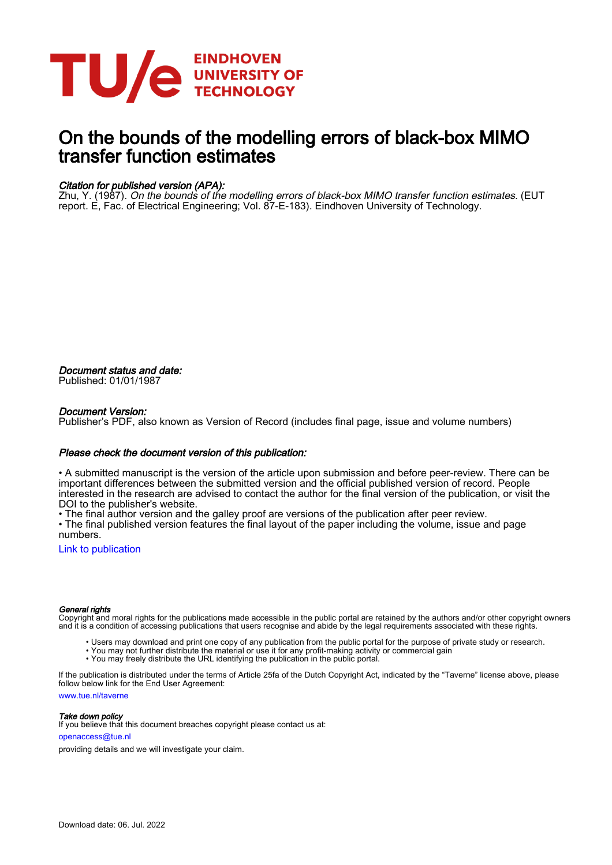

## On the bounds of the modelling errors of black-box MIMO transfer function estimates

#### Citation for published version (APA):

Zhu, Y. (1987). On the bounds of the modelling errors of black-box MIMO transfer function estimates. (EUT report. E, Fac. of Electrical Engineering; Vol. 87-E-183). Eindhoven University of Technology.

Document status and date: Published: 01/01/1987

#### Document Version:

Publisher's PDF, also known as Version of Record (includes final page, issue and volume numbers)

#### Please check the document version of this publication:

• A submitted manuscript is the version of the article upon submission and before peer-review. There can be important differences between the submitted version and the official published version of record. People interested in the research are advised to contact the author for the final version of the publication, or visit the DOI to the publisher's website.

• The final author version and the galley proof are versions of the publication after peer review.

• The final published version features the final layout of the paper including the volume, issue and page numbers.

[Link to publication](https://research.tue.nl/en/publications/5630fa18-7bb2-4b3e-8259-a7fa4cacc51e)

#### General rights

Copyright and moral rights for the publications made accessible in the public portal are retained by the authors and/or other copyright owners and it is a condition of accessing publications that users recognise and abide by the legal requirements associated with these rights.

- Users may download and print one copy of any publication from the public portal for the purpose of private study or research.
- You may not further distribute the material or use it for any profit-making activity or commercial gain
- You may freely distribute the URL identifying the publication in the public portal.

If the publication is distributed under the terms of Article 25fa of the Dutch Copyright Act, indicated by the "Taverne" license above, please follow below link for the End User Agreement:

www.tue.nl/taverne

**Take down policy**<br>If you believe that this document breaches copyright please contact us at:

openaccess@tue.nl

providing details and we will investigate your claim.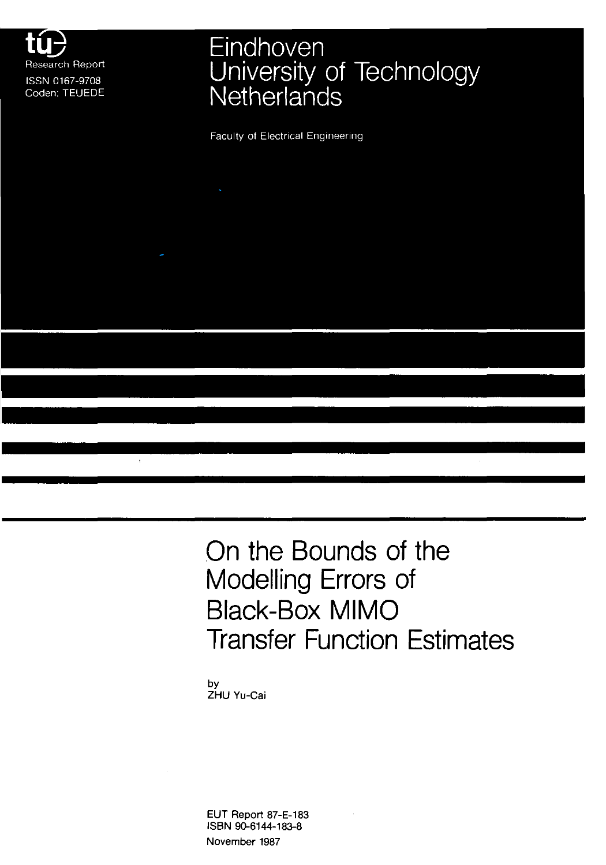

# Eindhoven University of Technology<br>Netherlands

**Faculty of Electrical Engineering** 

**On the Bounds of the Modelling Errors of Black-Box MIMO Transfer Function Estimates** 

by ZHU Yu-Cai

EUT Report 87-E-183 ISBN 90-6144-183-8 November 1987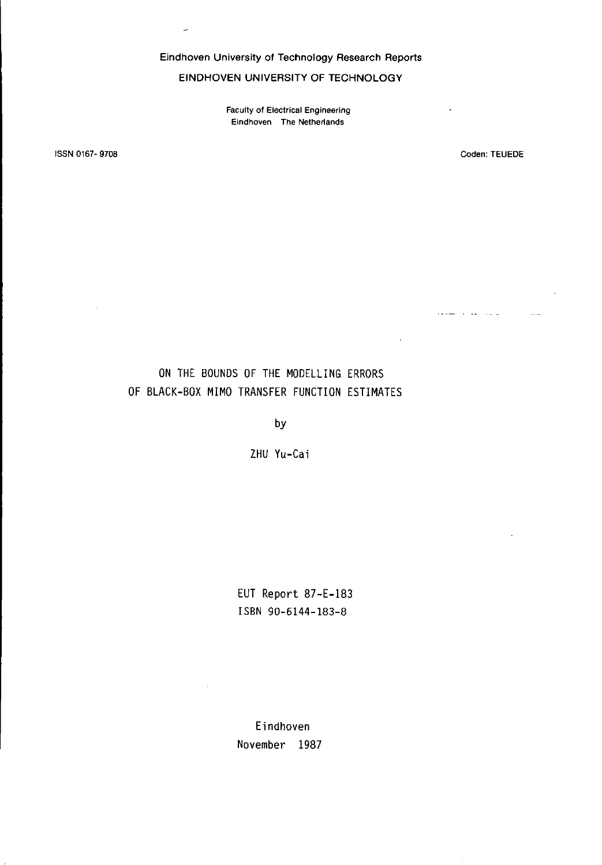Eindhoven University of Technology Research Reports

EINDHOVEN UNIVERSITY OF TECHNOLOGY

**Faculty of Electrical Engineering Eindhoven The Netherlands** 

ISSN 0167- 9708

Coden: TEUEDE

المواسط المقوار والمستعاد

 $\ddot{\phantom{1}}$ 

 $\sim$ 

 $\ddot{\phantom{0}}$ 

### ON THE BOUNDS OF THE MODELLING ERRORS OF BLACK-BOX MIMO TRANSFER FUNCTION ESTIMATES

by

ZHU Yu-Cai

EUT Report 87-E-183 ISBN 90-6144-183-8

Eindhoven November 1987

 $\overline{\phantom{a}}$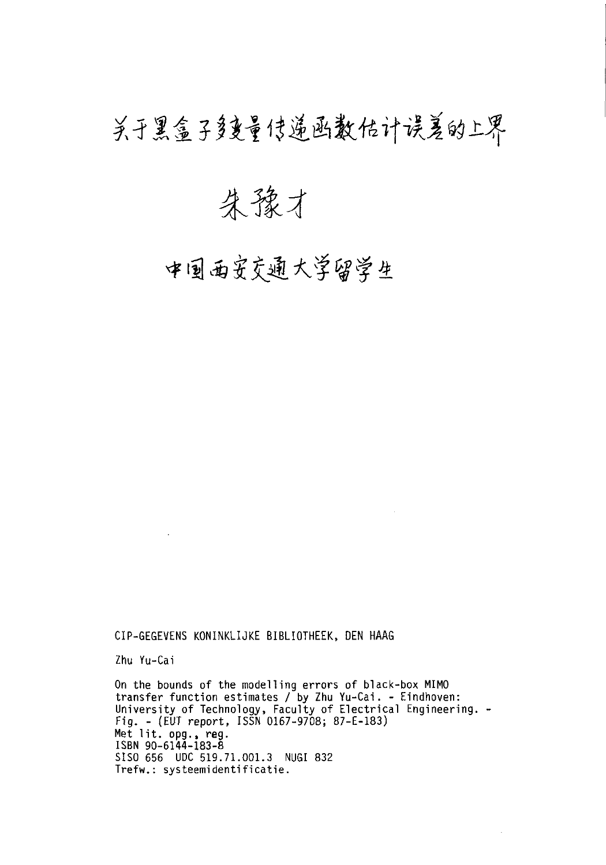## 关于黑盒子多重管传递函数估计误差的上界

朱豫才

中国西安交通大学留学生

CIP-GEGEVENS KONINKLIJKE BIBLIOTHEEK, DEN HAAG

Zhu Yu-Cai

On the bounds of the modelling errors of black-box MIMO transfer function estimates / by Zhu Yu-Cai. - Eindhoven: University of Technology, Faculty of Electrical Engineering. - Fig. - (EUT report, ISSN 0167-9708; 87-E-183) Met lit. opg., **reg.**  ISBN 90-6144-183-8 SISO 656 UDC 519.71.001.3 NUGI 832 Trefw.: systeemidentificatie.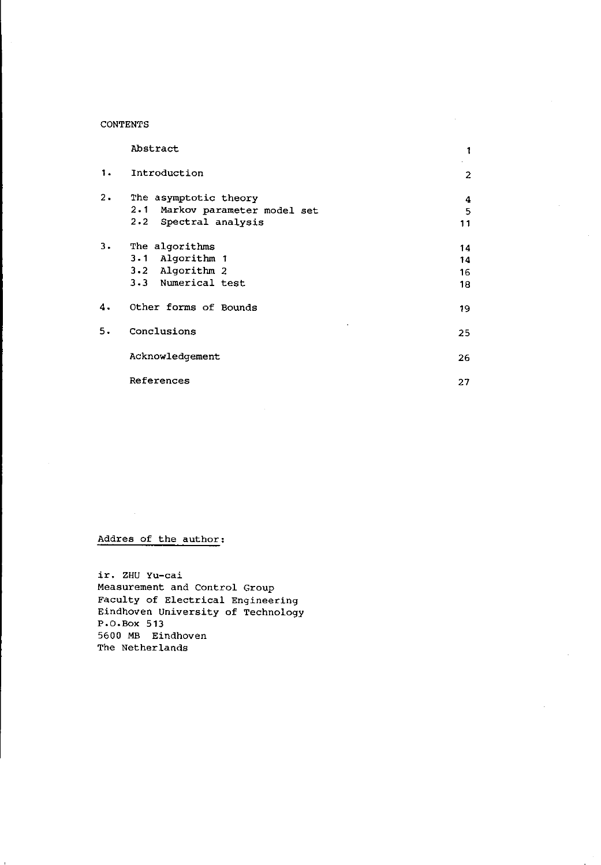#### **CONTENTS**

|    | Abstract                                                                         | 1                    |
|----|----------------------------------------------------------------------------------|----------------------|
| 1. | Introduction                                                                     | 2                    |
| 2. | The asymptotic theory<br>2.1 Markov parameter model set<br>2.2 Spectral analysis | 4<br>5<br>11         |
| 3. | The algorithms<br>3.1 Algorithm 1<br>3.2 Algorithm 2<br>3.3 Numerical test       | 14<br>14<br>16<br>18 |
| 4. | Other forms of Bounds                                                            | 19                   |
| 5. | Conclusions                                                                      | 25                   |
|    | Acknowledgement                                                                  | 26                   |
|    | References                                                                       | 27                   |

#### **Addres of the author:**

**ir. ZHU Yu-cai Measurement and Control Group Faculty of Electrical Engineering Eindhoven University of Technology**  P.O. Box **513**  5600 MB Eindhoven **The Nether lands**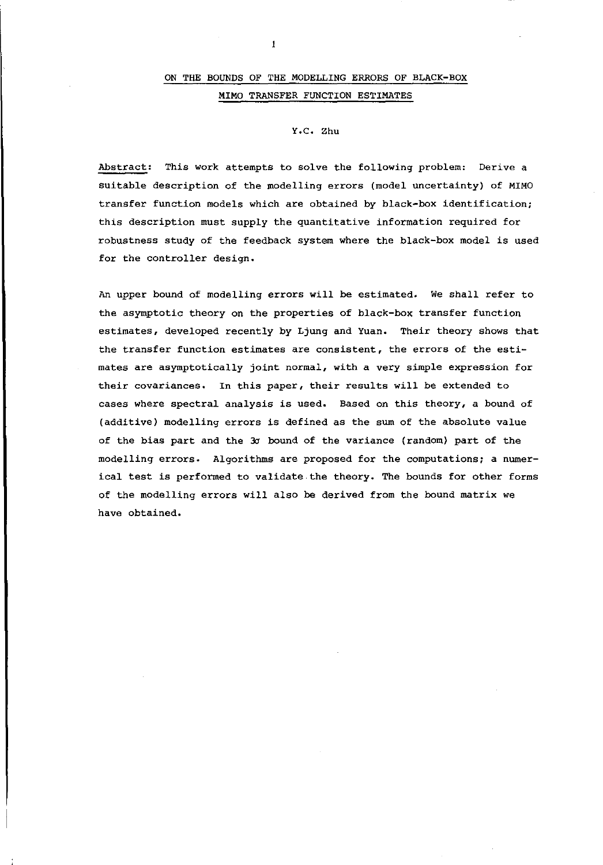#### ON THE BOUNDS OF THE MODELLING ERRORS OF BLACK-BOX MIMO TRANSFER FUNCTION ESTIMATES

#### Y.C. Zhu

Abstract: This work attempts to solve the following problem: Derive a suitable description of the modelling errors (model uncertainty) of MIMO transfer function models which are obtained by black-box identification; this description must supply the quantitative information required for robustness study of the feedback system where the black-box model is used for the controller design.

An upper bound of modelling errors will be estimated. We shall refer to the asymptotic theory on the properties of black-box transfer function estimates, developed recently by Ljung and Yuan. Their theory shows that the transfer function estimates are consistent, the errors of the estimates are asymptotically joint normal, with a very simple expression for their covariances. In this paper, their results will be extended to cases where spectral analysis is used. Based on this theory, a bound of (additive) modelling errors *is* defined as the sum of the absolute value of the bias part and the 3c bound of the variance (random) part of the modelling errors. Algorithms are proposed for the computations; a numerical test *is* performed to validate.the theory. The bounds for other forms of the modelling errors will also be derived from the bound matrix we have obtained.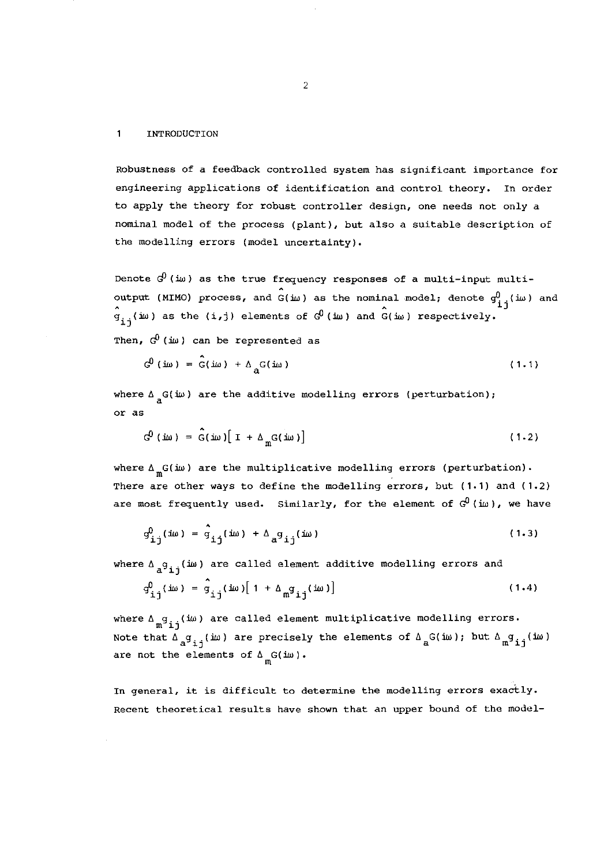#### $\mathbf{1}$ **INTRODUCTION**

**Robustness of a feedback controlled system has significant importance for engineering applications of identification and control theory. In order to apply the theory for robust controller design, one needs not only** a **nominal model of the process (plant), but also a suitable description of the modelling errors (model uncertainty).** 

**Denote cfJ (:iw) as the true frequency responses of a multi-input multi**output (MIMO) process, and  $G(i\omega)$  as the nominal model; denote  $g_{\bf i\ j}^0(i\omega)$  and  $\hat{g}_{\texttt{i}\texttt{j}}(\texttt{i}\omega)$  as the (i,j) elements of  $\mathcal{G}^0$  (i $\omega$ ) and  $\hat{G}(\texttt{i}\omega)$  respectively.

**Then, cfJ (iw) can be represented as** 

$$
G^{0}(\text{im}) = \hat{G}(\text{im}) + \Delta_{\mathbf{a}}G(\text{im})
$$
 (1.1)

where  $\Delta$ <sub>,</sub> $G(i\omega)$  are the additive modelling errors (perturbation); **or as** 

$$
G^{0}(\text{im}) = G(\text{im}) \left[ I + \Delta_{m} G(\text{im}) \right]
$$
 (1.2)

where  $\Delta_{\mathfrak{m}}G(i\omega)$  are the multiplicative modelling errors (perturbation). **There are other ways to define the modelling errors, but (1.1) and (1.2) are most frequently used. Similarly, for the element of** *GP(iw),* **we have** 

$$
g_{\mathtt{i}\mathtt{j}}^{0}(\mathtt{i}\omega) = \hat{g}_{\mathtt{i}\mathtt{j}}(\mathtt{i}\omega) + \Delta_{\mathtt{a}}g_{\mathtt{i}\mathtt{j}}(\mathtt{i}\omega)
$$
 (1.3)

where  $\Delta_{a} g_{i,i}(\omega)$  are called element additive modelling errors and

$$
q_{\text{i}j}^{0}(i\omega) = \hat{q}_{\text{i}j}(i\omega) [1 + \Delta_{\text{m}}q_{\text{i}j}(i\omega)] \qquad (1.4)
$$

where  $\Delta_{m}g_{i,i}(\omega)$  are called element multiplicative modelling errors. Note that  $\bar{\Lambda}_a g_{i,j}(\mathrm{i}\omega)$  are precisely the elements of  $\bar{\Lambda}_a G(\mathrm{i}\omega)$ ; but  $\bar{\Lambda}_m g_{i,j}(\mathrm{i}\omega)$ are not the elements of  $\Delta_{\mathfrak{m}} G(\mathfrak{m})$ .

**In general, it is difficult to determine the modelling errors exactly. Recent theoretical results have shown that an upper bound of the model-**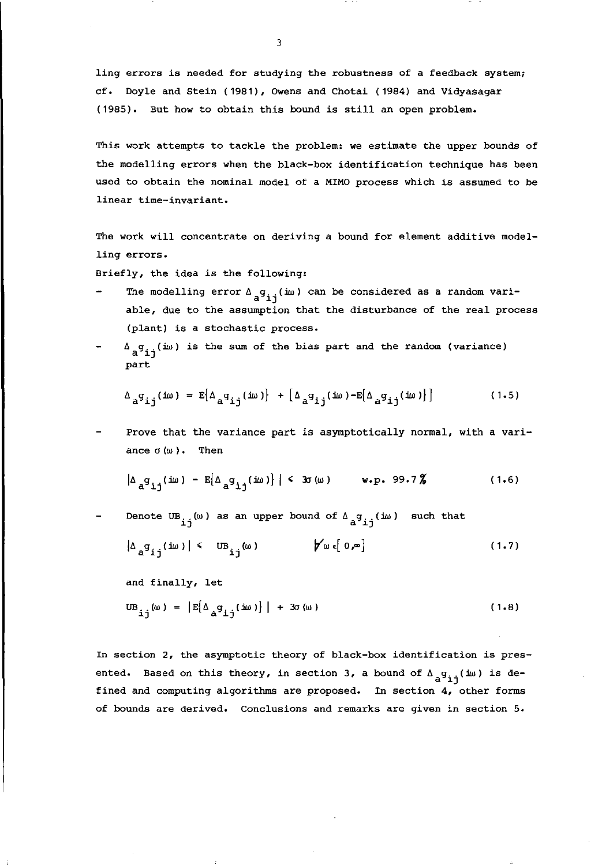**ling errors** *is* **needed for studying the robustness of a feedback system;**  cf. Doyle and stein (1981), OWens and Chotai (1984) and Vidyasagar (1985). But how to obtain this bound is still an open problem.

This work attempts to tackle the problem: we estimate the upper bounds of **the modelling errors when the black-box identification technique has been used to obtain the nominal model of a MIMO process which is assumed to be linear time-invariant.** 

**The work will concentrate on deriving a bound for element additive modelling errors.** 

Briefly, the idea is the following:

- **The modelling error**  $\Delta$  $_{\mathbf{a}}$ **g<sub>ij</sub>(iw) can be considered as a random variable, due to the assumption that the disturbance of the real process (plant) is a stochastic process.**
- $\Delta$   $_{a}$ g $_{ij}$ ( $i\omega$ ) is the sum of the bias part and the random (variance) part

$$
\Delta_{a}g_{\mathbf{i}\mathbf{j}}(\mathbf{i}\omega) = E[\Delta_{a}g_{\mathbf{i}\mathbf{j}}(\mathbf{i}\omega)] + [\Delta_{a}g_{\mathbf{i}\mathbf{j}}(\mathbf{i}\omega) - E[\Delta_{a}g_{\mathbf{i}\mathbf{j}}(\mathbf{i}\omega)]]
$$
 (1.5)

Prove that the variance part is asymptotically normal, with a variance  $\sigma(\omega)$ . Then

$$
|\Delta_{a}g_{ij}(iw) - E[\Delta_{a}g_{ij}(iw)]| < 3\sigma(\omega)
$$
 w.p. 99.7% (1.6)

Denote UB<sub>ij</sub>( $\omega$ ) as an upper bound of  $\Delta_{a}^{q}g_{ij}$ ( $i\omega$ ) such that

$$
|\Delta_{a}g_{ij}(i\omega)| \leftarrow \text{UB}_{ij}(\omega) \qquad \qquad \text{for } i \in [0,\infty]
$$

and finally, let

$$
UB_{ij}(\omega) = |E[\Delta_{a}q_{ij}(i\omega)]| + 3\sigma(\omega)
$$
 (1.8)

**In section 2, the asymptotic theory of black-box identification is presented.** Based on this theory, in section 3, a bound of  $\Delta_{\mathbf{a}}^{\mathbf{g}}\mathbf{g}_{\mathbf{i}\,\mathbf{j}}^{\mathbf{j}}$  (iw) is de**fined and computing algorithms are proposed. In section 4, other forms of bounds are derived. Conclusions and remarks are given in section 5.**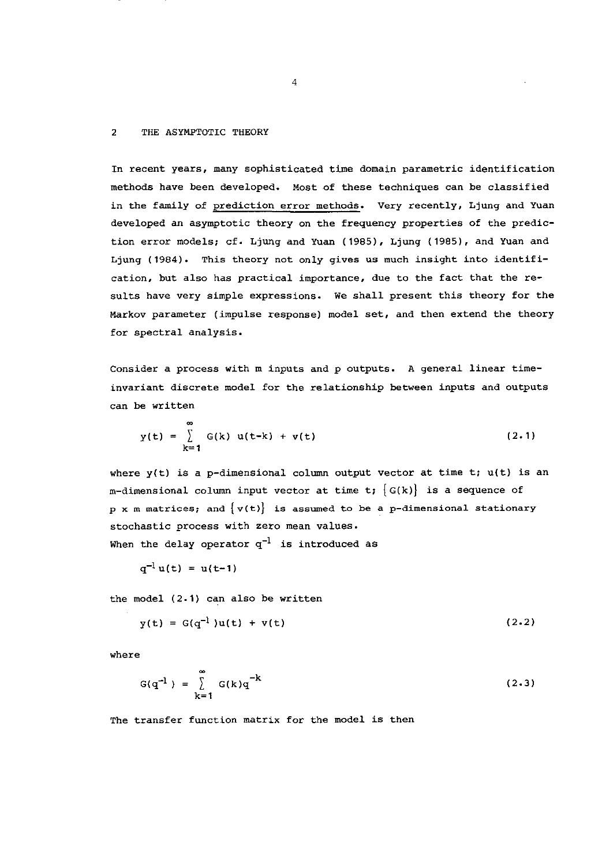#### 2 THE ASYMPTOTIC THEORY

In recent years, many sophisticated time domain parametric identification methods have been developed. Most of these techniques can be classified in the family of prediction error methods. Very recently, Ljung and Yuan developed an asymptotic theory on the frequency properties of the prediction error models; cf. Ljung and Yuan (1985), Ljung (1985), and Yuan and Ljung (1984). This theory not only gives us much insight into identification, but also has practical importance, due to the fact that the results have very simple expressions. We shall present this theory for the Markov parameter (impulse response) model set, and then extend the theory for spectral analysis.

Consider a process with m inputs and p outputs. A general linear timeinvariant discrete model for the relationship between inputs and outputs can be written

$$
y(t) = \sum_{k=1}^{\infty} G(k) u(t-k) + v(t)
$$
 (2.1)

where  $y(t)$  is a p-dimensional column output vector at time t;  $u(t)$  is an m-dimensional column input vector at time t;  ${G(k)}$  is a sequence of  $p \times m$  matrices; and  $\{v(t)\}$  is assumed to be a p-dimensional stationary stochastic process with zero mean values. When the delay operator  $q^{-1}$  is introduced as

$$
q^{-1} u(t) = u(t-1)
$$

the model (2.1) can also be written

$$
y(t) = G(q^{-1})u(t) + v(t)
$$
 (2.2)

where

$$
G(q^{-1}) = \sum_{k=1}^{\infty} G(k)q^{-k}
$$
 (2.3)

The transfer function matrix for the model is then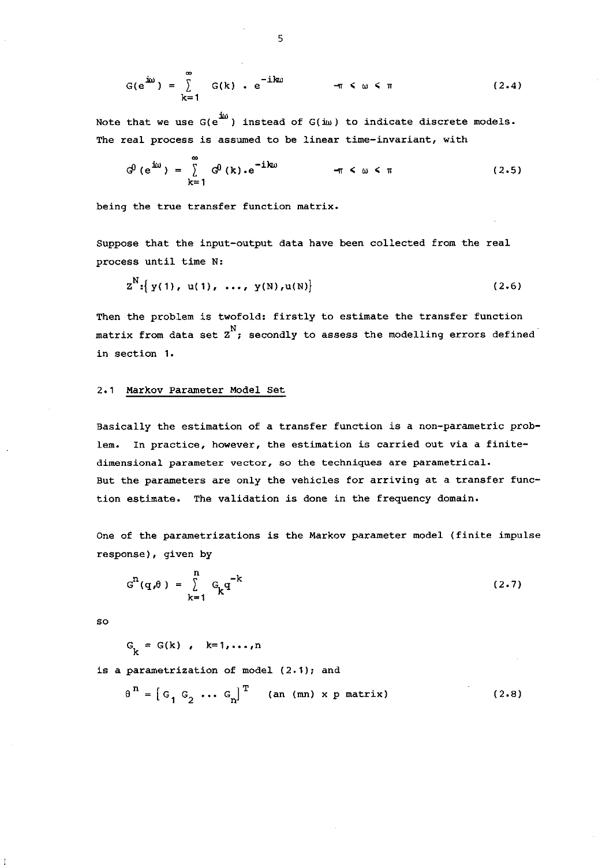$$
G(e^{i\omega}) = \sum_{k=1}^{\infty} G(k) \cdot e^{-ik\omega} \qquad \qquad \pi \leq \omega \leq \pi \qquad (2.4)
$$

Note that we use  $G(e^{i\omega})$  instead of  $G(i\omega)$  to indicate discrete models. **The real process is assumed to be linear time-invariant, with** 

$$
G^{0} (e^{i\omega}) = \sum_{k=1}^{\infty} G^{0}(k) \cdot e^{-ik\omega} \qquad \qquad \pi \leq \omega \leq \pi \qquad (2.5)
$$

**being the true transfer function matrix.** 

Suppose that the input-output data have been collected from the real **process until time N:** 

$$
Z^{N}:\left\{y(1), u(1), ..., y(N), u(N)\right\}
$$
 (2.6)

Then the problem is twofold: firstly to estimate the transfer function matrix from data set  $\overline{z}^N$ ; secondly to assess the modelling errors defined **in section 1.** 

#### 2.1 Markov Parameter Model Set

**Basically the estimation of a transfer function is a non-parametric problem. In practice, however, the estimation is carried out via a finitedimensional parameter vector, so the techniques are parametrical. But the parameters are only the vehicles for arriving at a transfer function estimate. The validation** *is* **done** *in* **the frequency domain.** 

**One of the parametrizations** *is* **the Markov parameter model (finite impulse response), given by** 

$$
G^{n}(q,\theta) = \sum_{k=1}^{n} G_{k}q^{-k}
$$
 (2.7)

so

$$
G_k = G(k), k=1,\ldots,n
$$

*is* **a parametrization of model (2.1); and** 

$$
\theta^{n} = \begin{bmatrix} G_1 & G_2 & \cdots & G_n \end{bmatrix}^T \qquad \text{(an (mn) x p matrix)} \tag{2.8}
$$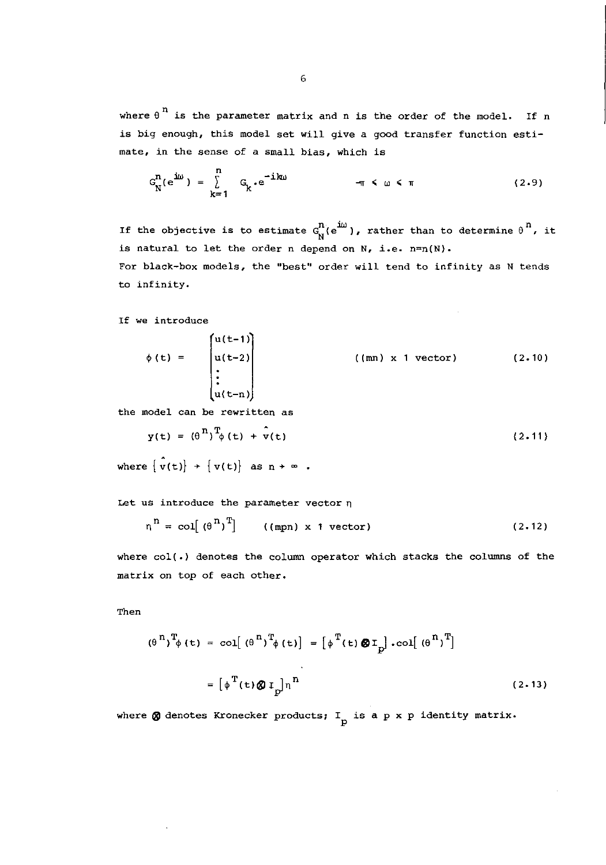where  $\theta$ <sup>n</sup> is the parameter matrix and n is the order of the model. If n is big enough, this model set will give a good transfer function estimate, in the sense of a small bias, which is

$$
G_N^n(e^{i\omega}) = \sum_{k=1}^n G_k \cdot e^{-ik\omega} \qquad \qquad \pi \leq \omega \leq \pi \qquad (2.9)
$$

If the objective is to estimate  $G_N^n(e^{i\omega})$ , rather than to determine  $\theta^n$ , it is natural to let the order n depend on N, *i.e.* n=n(N}.

For black-box models, the "best" order will tend to infinity as N tends to infinity.

If we introduce

$$
\phi(t) = \begin{bmatrix} u(t-1) \\ u(t-2) \\ \vdots \\ u(t-n) \end{bmatrix} \qquad \qquad ((mn) \times 1 \text{ vector}) \qquad (2.10)
$$

the model can be rewritten as

$$
y(t) = (\theta^{n})^{T} \phi(t) + \hat{v}(t)
$$
 (2.11)

where  $\{\hat{v}(t)\}$  +  $\{v(t)\}$  as  $n \rightarrow \infty$ .

Let us introduce the parameter vector  $\eta$ 

$$
\eta^{\mathbf{n}} = \text{col}[(\theta^{\mathbf{n}})^{\mathbf{T}}] \qquad \text{((mpn) x 1 vector)} \tag{2.12}
$$

where co1(.) denotes the column operator which stacks the columns of the matrix on top of each other.

Then

$$
(\theta^{n})^{T} \phi(t) = col[(\theta^{n})^{T} \phi(t)] = [\phi^{T}(t) \otimes I_{p}] \cdot col[(\theta^{n})^{T}]
$$

$$
= [\phi^{T}(t) \otimes I_{p}] n^{n}
$$
(2.13)

where  $\pmb{\otimes}$  denotes Kronecker products;  $\texttt{I}_{\texttt{p}}$  is a p x p identity matrix.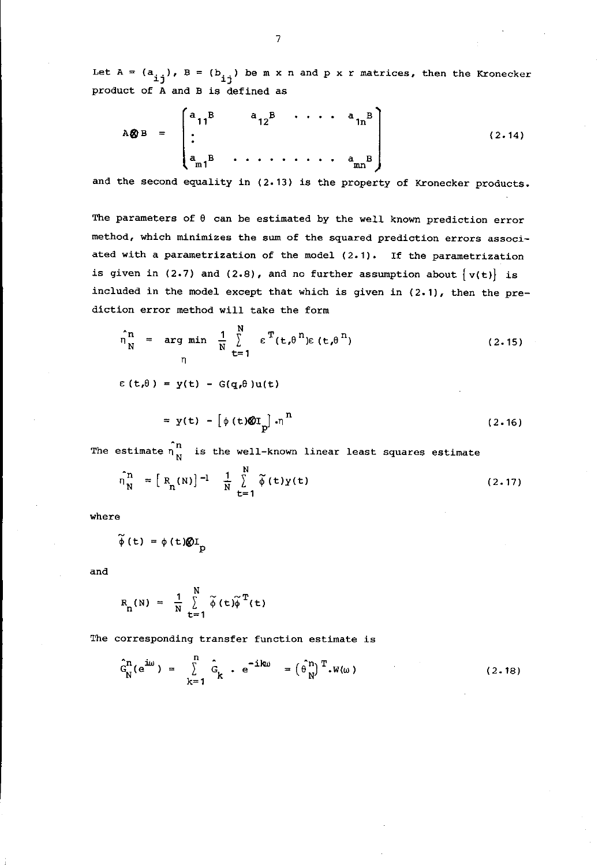Let  $A = (a_{ij}), B = (b_{ij})$  be m x n and p x r matrices, then the Kronecker product of A and B *is* defined as

$$
A \otimes B = \begin{bmatrix} a_{11}^{B} & a_{12}^{B} & \cdots & a_{1n}^{B} \\ \vdots & \vdots & \ddots & \vdots \\ a_{m1}^{B} & \cdots & \cdots & a_{mn}^{B} \end{bmatrix}
$$
 (2.14)

**and the second** equality *in* (2.13) *is* the property **of Kronecker products.** 

The parameters of  $\theta$  can be estimated by the well known prediction error **method, which minimizes the sum of the squared prediction errors associated with a parametrization of the model (2.1). If the parametrization**  is given in (2.7) and (2.8), and no further assumption about  $\{v(t)\}\$ is included *in* the model except that which *is* given *in* (2.1), then the prediction error method will take the form

$$
\hat{\eta}_{N}^{n} = \arg \min_{N} \frac{1}{N} \sum_{t=1}^{N} \epsilon^{T} (t, \theta^{n}) \epsilon (t, \theta^{n})
$$
\n(2.15)

 $\epsilon(t,\theta) = y(t) - G(q,\theta)u(t)$ 

$$
= y(t) - \left[ \phi(t) \mathcal{Q} I_p \right] \cdot \eta^n \tag{2.16}
$$

The estimate  $\hat{n}$  is the well-known linear least squares estimate

$$
\hat{\eta}_{N}^{n} = [R_{n}(N)]^{-1} \frac{1}{N} \sum_{t=1}^{N} \tilde{\phi}(t)y(t)
$$
 (2.17)

**where** 

$$
\widetilde{\phi}(t) = \phi(t) \mathcal{Q}I_p
$$

and

$$
R_{n}(N) = \frac{1}{N} \sum_{t=1}^{N} \widetilde{\phi}(t) \widetilde{\phi}^{T}(t)
$$

**The corresponding transfer function estimate is** 

$$
\hat{G}_{N}^{n}(e^{i\omega}) = \sum_{k=1}^{n} \hat{G}_{k} \cdot e^{-i k\omega} = (\hat{\theta}_{N}^{n})^{T} \cdot W(\omega)
$$
 (2.18)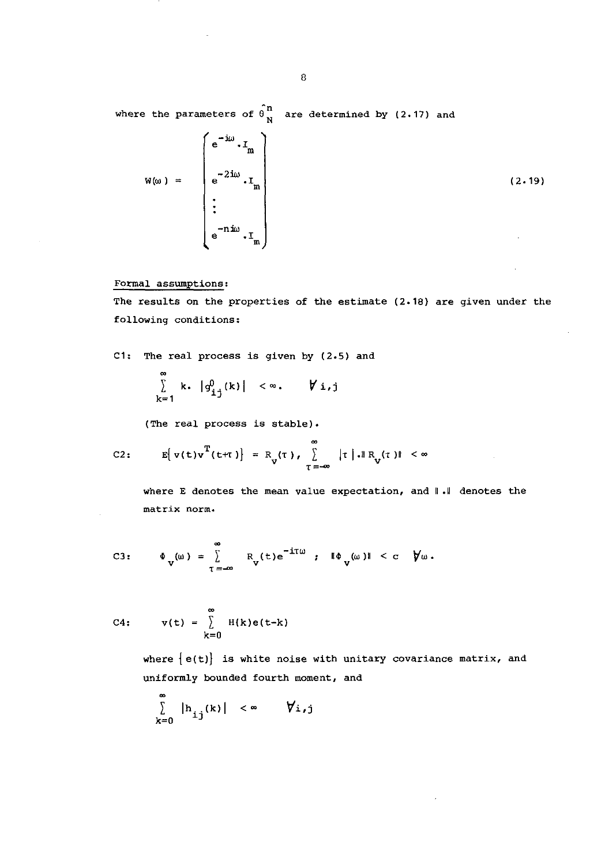where the parameters of  $\hat{\theta}^{\text{n}}_{N}$  are determined by (2.17) and

$$
W(\omega) = \begin{pmatrix} e^{-i\omega} \cdot I_m \\ e^{-2i\omega} \cdot I_m \\ \vdots \\ e^{-n i\omega} \cdot I_m \end{pmatrix}
$$
 (2.19)

#### **Formal assumptions:**

**The results on the properties of the estimate (2.18) are given under the following conditions:** 

*C1:* The real process is given by (2.5) and

$$
\sum_{k=1}^{\infty} k \cdot |g_{ij}^{0}(k)| < \infty, \qquad \forall i,j
$$

**(The real process is stable).** 

C2: 
$$
E[ v(t)v^T(t+\tau)] = R_v(\tau), \sum_{\tau=-\infty}^{\infty} |\tau| \cdot ||R_v(\tau)|| < \infty
$$

where E denotes the mean value expectation, and  $\|\cdot\|$  denotes the **matrix norm.** 

C3: 
$$
\Phi_{V}(\omega) = \sum_{T = -\infty}^{\infty} R_{V}(t) e^{-iT\omega}
$$
;  $\Phi_{V}(\omega) \mathbb{1} < c$   $\forall \omega$ .

$$
C4: \qquad v(t) = \sum_{k=0}^{\infty} H(k)e(t-k)
$$

**where {e(t)} is white noise with unitary covariance matrix, and uniformly bounded fourth moment, and** 

$$
\sum_{k=0}^{\infty} |h_{ij}(k)| < \infty \qquad \forall i,j
$$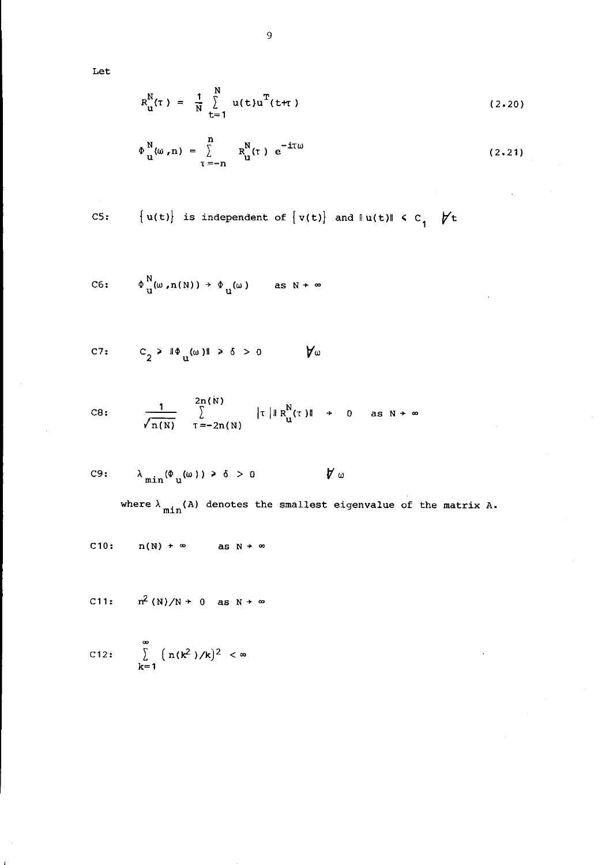Let

$$
R_{u}^{N}(\tau) = \frac{1}{N} \sum_{t=1}^{N} u(t) u^{T}(t+\tau)
$$
 (2.20)

$$
\Phi_{\mathbf{u}}^{\mathbf{N}}(\omega, n) = \sum_{\tau = -n}^{n} R_{\mathbf{u}}^{\mathbf{N}}(\tau) e^{-i\tau \omega}
$$
 (2.21)

C5: 
$$
\{u(t)\}\
$$
is independent of  $\{v(t)\}\$  and  $\|u(t)\| \leq c_1$   $\forall t$ 

$$
\text{C6:} \qquad \Phi_{\mathbf{u}}^{\mathbf{N}}(\omega,\mathbf{n}(\mathbf{N})) \rightarrow \Phi_{\mathbf{u}}(\omega) \qquad \text{as } \mathbf{N} \rightarrow \infty
$$

$$
c_2 > \mathbb{I} \Phi_u(\omega) \mathbb{I} > \delta > 0 \qquad \forall \omega
$$

C8: 
$$
\frac{1}{\sqrt{n(N)}} \sum_{\tau=-2n(N)}^{2n(N)} |\tau| \mathbb{R}^{N}_{\mathbf{u}}(\tau)| + 0 \text{ as } N \to \infty
$$

C9: 
$$
\lambda_{\min}(\Phi_u(\omega)) > \delta > 0
$$
  $\forall \omega$ 

where  $\lambda_{\text{min}}(A)$  denotes the smallest eigenvalue of the matrix A.

 $\sim$ 

C10: 
$$
n(N) \rightarrow \infty
$$
 as  $N \rightarrow \infty$ 

C11: 
$$
n^2(N)/N + 0
$$
 as  $N \rightarrow \infty$ 

C12: 
$$
\sum_{k=1}^{\infty} (n(k^2)/k)^2 < \infty
$$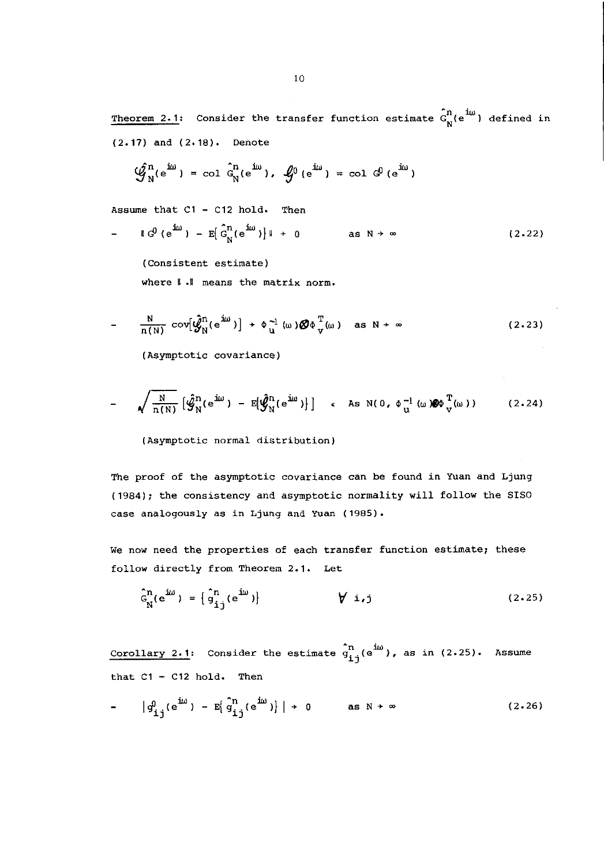Theorem 2.1: Consider the transfer function estimate  $G_{N}^{n}(e^{100})$  defined in (2.17) and (2.18). Denote

$$
\hat{\mathcal{G}}_{N}^{n}(e^{i\omega}) = \text{col } \hat{G}_{N}^{n}(e^{i\omega}), \quad \hat{\mathcal{G}}_{0}^{0}(e^{i\omega}) = \text{col } \hat{G}_{0}(e^{i\omega})
$$

Assume that C1 - C12 hold. Then

Assume that C1 - C12 hold. Then  
\n
$$
= \mathbb{I} \big[ \mathbb{G}^0 \big( e^{i\omega} \big) - \mathbb{E} \big[ \mathbb{G}^{\mathbb{D}}_N (e^{i\omega}) \big] \mathbb{I} + 0
$$
\nas N +  $\infty$  (2.22)

**(Consistent estimate) where 11.11 means the matrix norm.** 

$$
-\frac{N}{n(N)} \text{ cov}[\hat{\mathcal{G}}_{N}^{n}(e^{j\omega})] + \Phi_{\mathbf{u}}^{-1}(\omega) \hat{\mathcal{G}} \Phi_{\mathbf{v}}^{T}(\omega) \text{ as } N \to \infty \qquad (2.23)
$$

**(Asymptotic covariance)** 

$$
- \sqrt{\frac{N}{n(N)}} \left[ \hat{\mathcal{G}}_N^n(e^{i\omega}) - E[\hat{\mathcal{G}}_N^n(e^{i\omega})] \right] \quad \text{as} \quad N(0, \Phi_u^{-1}(\omega)) \mathcal{G}\Phi_v^T(\omega)) \tag{2.24}
$$

**(Asymptotic normal distribution)** 

**The proof of the asymptotic covariance can be found in Yuan and Ljung**  (1984); the consistency and asymptotic normality will follow the 8180 **case analogously as in Ljung and Yuan (1985).** 

**We now need the properties of each transfer function estimate; these**  follow directly from Theorem 2.1. Let

$$
\hat{G}_{N}^{n}(e^{i\omega}) = \left\{ \hat{g}_{i\,j}^{n}(e^{i\omega}) \right\} \qquad \qquad \forall i,j \qquad (2.25)
$$

**Corollary 2.1:** Consider the estimate  $\hat{g}_{i,i}^n(e^{j\omega})$ , as in (2.25). Assume that  $C1 - C12$  hold. Then

$$
-\left|g_{ij}^0(e^{i\omega})-E\left(g_{ij}^n(e^{i\omega})\right)\right|+0\qquad\text{as }N\to\infty\tag{2.26}
$$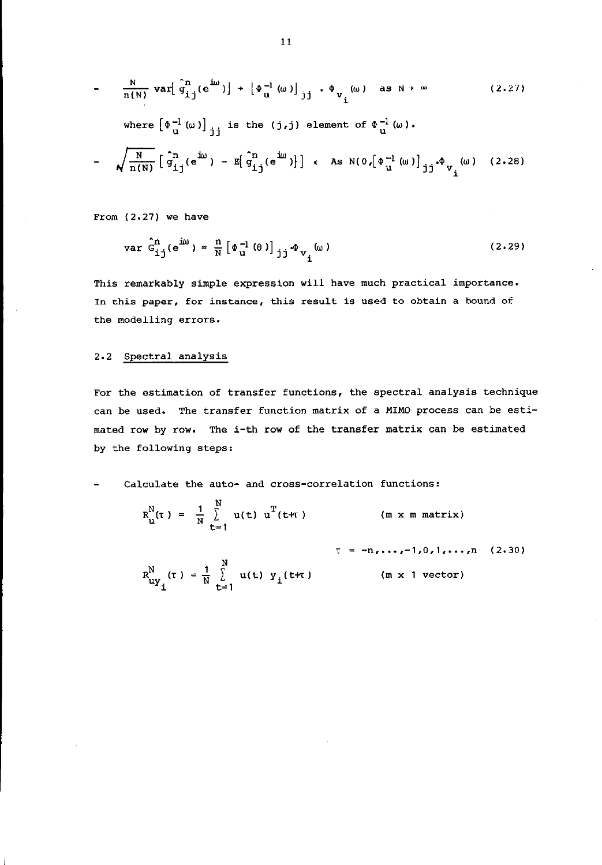$$
-\frac{N}{n(N)} \text{ var} \left[\hat{q}_{ij}^{n}(e^{i\omega})\right] + \left[\hat{\Phi}_{u}^{-1}(\omega)\right]_{jj} \cdot \hat{\Phi}_{v_{i}}(\omega) \text{ as } N \to \infty \qquad (2.27)
$$
  
\nwhere  $\left[\hat{\Phi}_{u}^{-1}(\omega)\right]_{jj}$  is the (j,j) element of  $\hat{\Phi}_{u}^{-1}(\omega)$ .  
\n
$$
-\sqrt{\frac{N}{n(N)}} \left[\hat{q}_{ij}^{n}(e^{i\omega}) - E\left[\hat{q}_{ij}^{n}(e^{i\omega})\right]\right] \leftarrow \text{As } N(0, \left[\hat{\Phi}_{u}^{-1}(\omega)\right]_{jj} \cdot \hat{\Phi}_{v_{i}}(\omega) \quad (2.28)
$$

From (2.27) we have

$$
\text{var } \hat{G}^n_{\underline{i}\, \underline{j}} \left( e^{\underline{i}\omega} \right) \approx \frac{n}{N} \left[ \Phi_u^{-1} \left( \theta \right) \right]_{\underline{j}\, \underline{j}} \Phi_{V_{\underline{i}}}(\omega) \tag{2.29}
$$

**This remarkably simple expression will have much practical importance. In this paper, for instance, this result is used to obtain a bound of the modelling errors.** 

#### 2.2 Spectral analysis

**For the estimation of transfer functions, the spectral analysis technique can be used. The transfer function matrix of a MIMO process can be** *esti*mated row by row. The i-th row of the transfer matrix can be estimated by the following steps:

**Calculate the auto- and cross-correlation functions:** 

$$
R_{u}^{N}(t) = \frac{1}{N} \sum_{t=1}^{N} u(t) u^{T}(t+T)
$$
 (m x m matrix)

$$
\tau = -n, ..., -1, 0, 1, ..., n \quad (2.30)
$$
  
\n
$$
R_{uy_i}^N(\tau) = \frac{1}{N} \sum_{t=1}^N u(t) y_i(t+\tau) \qquad (m \times 1 \text{ vector})
$$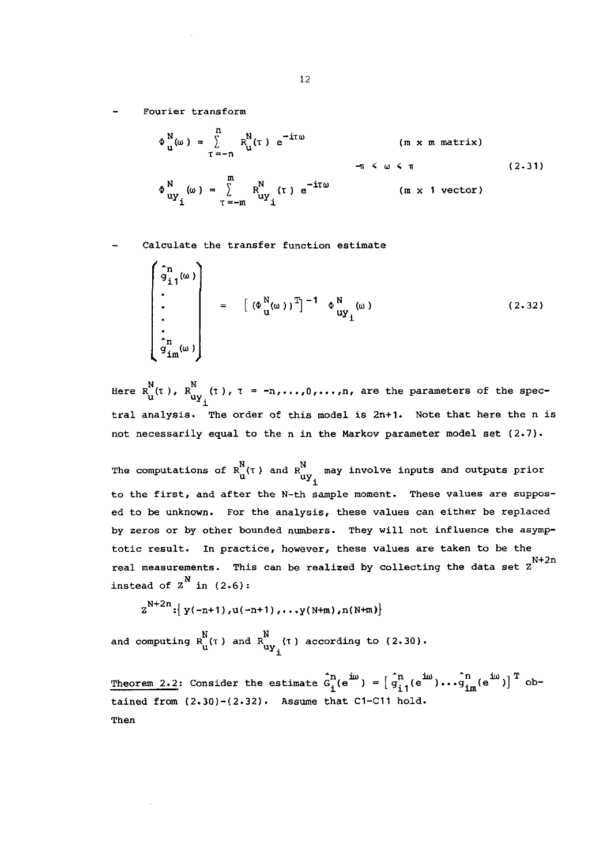**Fourier transform** 

$$
\Phi_{\mathbf{u}}^{N}(\omega) = \sum_{\tau=-n}^{n} R_{\mathbf{u}}^{N}(\tau) e^{-i\tau\omega} \qquad (m \times m \text{ matrix})
$$
  

$$
\Phi_{\mathbf{u}\mathbf{y}_{i}}^{N}(\omega) = \sum_{\tau=-m}^{m} R_{\mathbf{u}\mathbf{y}_{i}}^{N}(\tau) e^{-i\tau\omega} \qquad (m \times 1 \text{ vector})
$$
 (2.31)

**Calculate the transfer function estimate** 

$$
\begin{pmatrix}\n\hat{g}_1 & (\omega) \\
\vdots & \vdots \\
\vdots & \vdots \\
\hat{g}_m(\omega)\n\end{pmatrix} = \begin{bmatrix}\n(\Phi_M^N(\omega))^T\n\end{bmatrix}^{-1} \Phi_{uy_1}^N(\omega)
$$
\n(2.32)

Here  $R_{i,j}^N(\tau)$ ,  $R_{i_{11}j_{1}}^N(\tau)$ ,  $\tau = -n, ..., 0, ..., n$ , are the parameters of the spec- $\mathbf{u}^{\prime\prime}$   $\mathbf{u}^{\prime\prime}$   $\mathbf{u}^{\prime\prime}$   $\mathbf{u}^{\prime\prime}$ **tral analysis. The order of this model is 2n+1. Note that here the n is**  not necessarily equal to the n in the Markov parameter model set (2.7).

The computations of  $R_{\text{uY}}^{\text{N}}$  ( $\tau$  ) and  $R_{\text{uY}}^{\text{N}}$  may involve inputs and outputs prior uYi **to the first, and after the N-th sample moment. These values are supposed to be unknown. For the analysis, these values can either be replaced by zeros or by other bounded numbers. They will not influence the asymptotie result. In practice, however, these values are taken to be the real measurements.**  N+2n This can be realized by collecting the data set Z instead of  $Z^N$  in (2.6):

$$
Z^{N+2n}: \{y(-n+1),u(-n+1),...,y(N+m),n(N+m)\}
$$

and computing  $\texttt{R}_{\texttt{u}}^{\text{N}}(\tau$  ) and  $\texttt{R}_{\texttt{u}\texttt{y}_\texttt{z}}^{\text{N}}(\tau)$  according to (2.30).

Theorem 2.2: Consider the estimate  $\hat{G}_i^{\text{n}}(e^{j\omega}) = \begin{bmatrix} \hat{n} & (e^{j\omega}) & \hat{n} \\ g_{i,1}(e^{j\omega}) & \cdots & g_{im}(e^{j\omega}) \end{bmatrix}^{\text{T}}$  obtained from  $(2.30)-(2.32)$ . Assume that C1-C11 hold. Then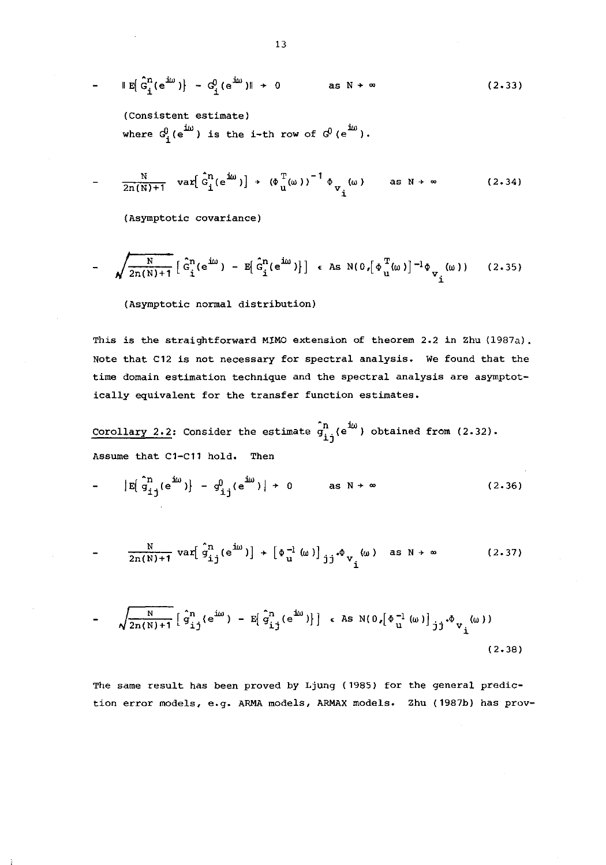$$
\|E\left[\hat{G}_i^n(e^{i\omega})\right] - G_i^0(e^{i\omega})\| \to 0 \qquad \text{as } N \to \infty \qquad (2.33)
$$

(Consistent estimate) where  $G_i^0(e^{iw})$  is the i-th row of  $G^0(e^{iw})$ .

$$
\frac{N}{2n(N)+1} \quad \text{var}\big[\hat{G}_{\underline{i}}^{n}(e^{\underline{i}\omega})\big] + \left(\Phi_{\underline{i}}^{T}(\omega)\right)^{-1} \Phi_{\underline{v}_{\underline{i}}}(\omega) \qquad \text{as } N \to \infty \tag{2.34}
$$

**(Asymptotic covariance)** 

$$
-\sqrt{\frac{N}{2n(N)+1}}\left[\hat{G}_{i}^{n}(e^{i\omega}) - E[\hat{G}_{i}^{n}(e^{i\omega})]\right] \in \text{As } N(0, [\Phi_{i}^{T}(\omega)]^{-1}\Phi_{V_{i}}(\omega)) \qquad (2.35)
$$

(Asymptotic normal distribution)

This is the straightforward MIMO extension of theorem 2.2 in Zhu (1987a). **Note that C12 is not necessary for spectral analysis. We found that the time domain estimation technique and the spectral analysis are asymptotically equivalent for the transfer function estimates.** 

**Corollary 2.2:** Consider the estimate  $\hat{g}_{i,j}^{n}(e^{j\omega})$  obtained from (2.32). Assume that C1-C11 hold. Then

 $\left| \mathbb{E} \left( \mathbb{S}_{ij}^{n}(e^{j\omega}) \right) - \mathbb{S}_{ij}^{0}(e^{j\omega}) \right| \rightarrow 0$  as  $N \rightarrow \infty$  (2.36)

$$
\frac{N}{2n(N)+1} \text{ var} \left[ \hat{g}_{ij}^{n} (e^{j\omega}) \right] + \left[ \Phi_{u}^{-1} (\omega) \right]_{jj} \phi_{v} (\omega) \text{ as } N \to \infty \qquad (2.37)
$$

$$
-\sqrt{\frac{N}{2n(N)+1}}\left[\hat{g}_{i\,j}^{n}(e^{i\omega}) - E\left[\hat{g}_{i\,j}^{n}(e^{i\omega})\right]\right] \in \text{As } N(0, [\Phi_{u}^{-1}(\omega)]_{jj} \Phi_{v_{i}}(\omega))
$$
\n(2.38)

**The same result has been proved by Ljung (1985) for the general prediction error models, e.g. ARMA models, ARMAX models. Zhu (1987b) has prov-**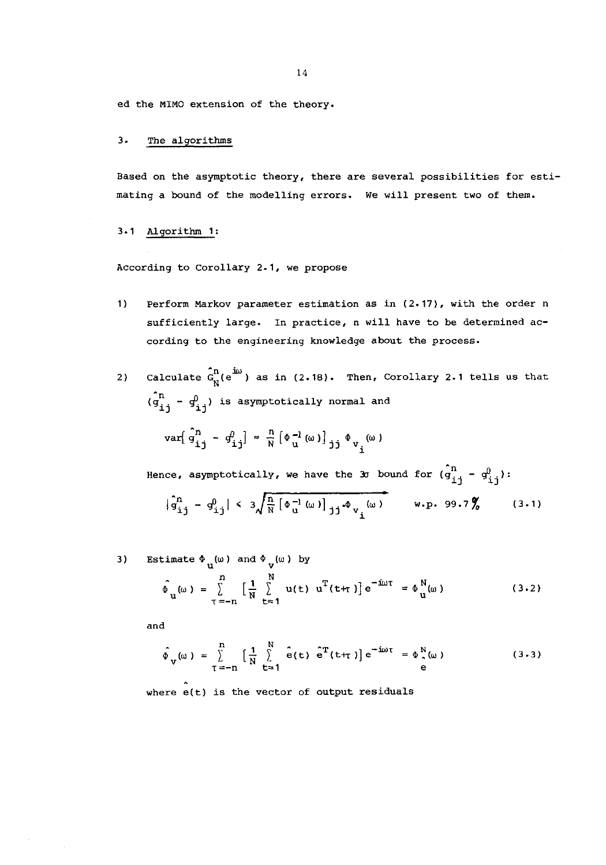14

ed the MIMO extension of the theory.

#### 3. The algorithms

**Based on the asymptotic theory, there are several possibilities for estimating a bound of the modelling errors. We will present two of them.** 

#### 3.1 Algorithm 1:

**According to Corollary 2.1, we propose** 

- **1) Perform Markov parameter estimation as in (2.17), with the order n sufficiently large. In practice, n will have to be determined according to the engineering knowledge about the process.**
- 2) Calculate  $\hat{G}_{N}^{n}(e^{i\omega})$  as in (2.18). Then, Corollary 2.1 tells us that  $\hat{p}$   $(q_{i,j} - q_{i,j}^0)$  is asymptotically normal and  $\text{var}[\hat{g}^{\text{n}}_{\text{i} \text{j}} - g^{\text{0}}_{\text{i} \text{j}}] \approx \frac{\text{n}}{\text{N}} [\Phi_{\text{u}}^{-1}(\omega)]_{\text{j} \text{j}} \Phi_{\text{v}_{\text{i}}}(\omega)$

Hence, asymptotically, we have the 30 bound for  $\hat{q}_{j_1,j}^n - q_{j_1,j}^0$ :

$$
|\hat{q}_{ij}^{n} - q_{ij}^{0}| < 3\sqrt{\frac{n}{N} [\Phi_{u}^{-1}(\omega)]_{jj} \Phi_{v_{i}}(\omega)}
$$
 w.p. 99.7% (3.1)

3) Estimate 
$$
\Phi_{u}(\omega)
$$
 and  $\Phi_{v}(\omega)$  by  
\n
$$
\hat{\Phi}_{u}(\omega) = \sum_{\tau=-n}^{n} \left[ \frac{1}{N} \sum_{t=1}^{N} u(t) u^{T}(t+\tau) \right] e^{-i\omega \tau} = \Phi_{u}^{N}(\omega)
$$
\n(3.2)

and

$$
\hat{\phi}_{V}(\omega) = \sum_{T=-n}^{n} \left[ \frac{1}{N} \sum_{t=1}^{N} \hat{e}(t) \hat{e}^{T}(t+\tau) \right] e^{-i\omega \tau} = \phi_{\alpha}^{N}(\omega)
$$
\n(3.3)

**where** e(t) **is the vector of output residuals**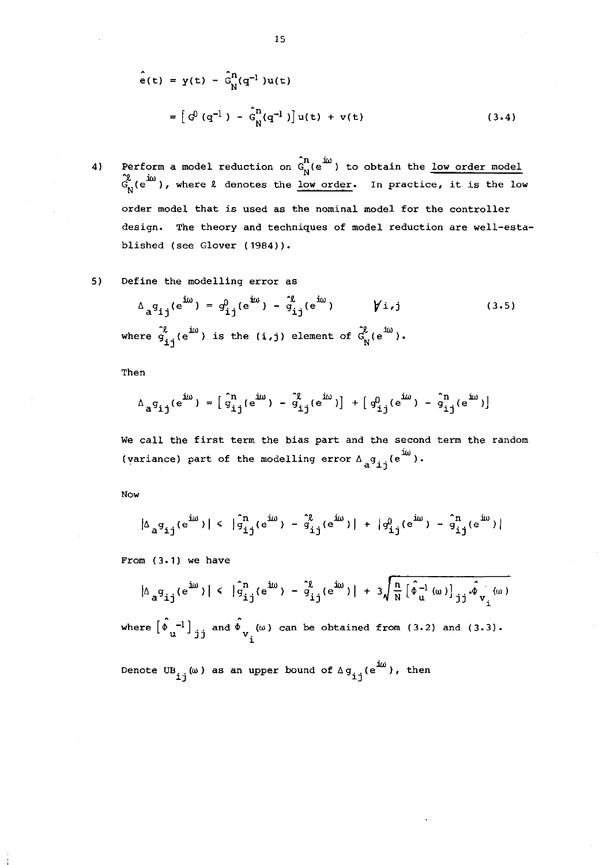$$
\hat{e}(t) = y(t) - \hat{G}_N^{n}(q^{-1})u(t)
$$
  
=  $\left[ G^0(q^{-1}) - \hat{G}_N^{n}(q^{-1}) \right] u(t) + v(t)$  (3.4)

- 4) Perform a model reduction on  $\hat{G}_{N}^{n}(e^{j\omega})$  to obtain the <u>low order model</u>  $T_{N}^{2}$  (e<sup>im</sup>), where  $\ell$  denotes the <u>low order</u>. In practice, it is the low **order model that is used as the nominal model for the controller design. The theory and techniques of model reduction are well-esta**blished (see Glover (1984)).
- **5) Define the modelling error as**

$$
\Delta_{a}q_{ij}(e^{iw}) = q_{ij}^0(e^{iw}) - \tilde{q}_{ij}^0(e^{iw}) \qquad \forall i,j
$$
\n(3.5)\nwhere  $\tilde{q}_{ij}^0(e^{iw})$  is the (i,j) element of  $\tilde{q}_{N}^0(e^{iw})$ .

Then

$$
\Delta_{a}g_{ij}(e^{i\omega}) = \left[\hat{g}_{ij}^{n}(e^{i\omega}) - \hat{g}_{ij}^{n}(e^{i\omega})\right] + \left[g_{ij}^{0}(e^{i\omega}) - \hat{g}_{ij}^{n}(e^{i\omega})\right]
$$

**We call the first term the bias part and the second term the random**  (variance) part of the modelling error  $\Lambda_a g_{11}^{\phantom{1}}(e^{i\omega})$ .

Now

$$
|\Delta_a \mathbf{q_{ij}}(e^{i\omega})| \le |\hat{\mathbf{q}}_{ij}^n(e^{i\omega}) - \hat{\mathbf{q}}_{ij}^n(e^{i\omega})| + |\mathbf{q_{ij}^0}(e^{i\omega}) - \hat{\mathbf{q}}_{ij}^n(e^{i\omega})|
$$

From (3.1) we have

$$
|\Delta_{a}g_{ij}(e^{iw})| \le |\hat{g}_{ij}^{n}(e^{iw}) - \hat{g}_{ij}^{n}(e^{iw})| + 3\sqrt{\frac{n}{N}[\hat{\phi}_{u}^{-1}(\omega)]_{jj} \hat{\phi}_{v_{i}}(\omega)}
$$

where  $\begin{bmatrix} \hat{\Phi} & -1 \\ u & j \end{bmatrix}$  and  $\hat{\Phi}_{v_i}(\omega)$  can be obtained from (3.2) and (3.3).

Denote UB<sub>1</sub> (w) as an upper bound of  $\Delta g_{11}^{\text{1/6}}$  . then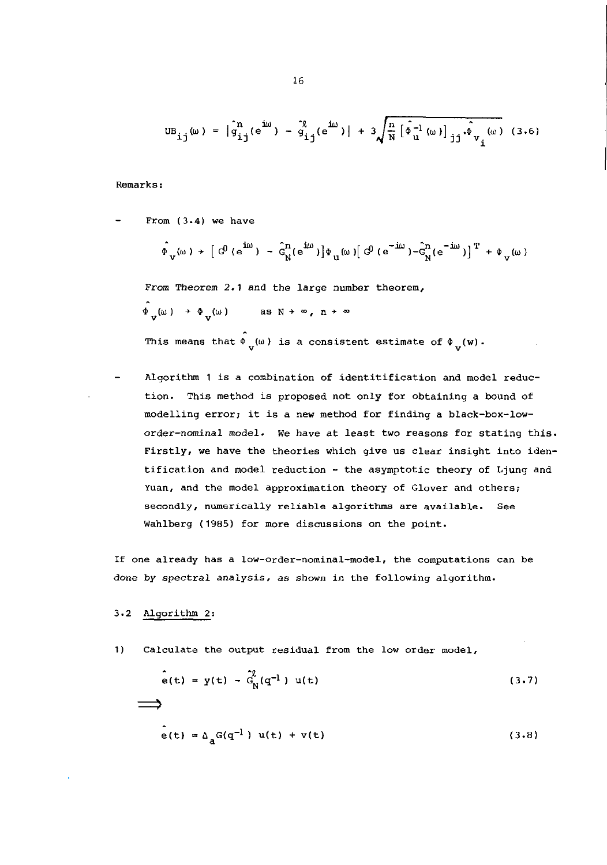$$
UB_{ij}(\omega) = |\hat{g}_{ij}^{n}(e^{i\omega}) - \hat{g}_{ij}^{2}(e^{i\omega})| + 3\sqrt{\frac{n}{N} [\hat{\phi}_{u}^{-1}(\omega)]_{jj} \hat{\phi}_{v_{i}}(\omega)}
$$
(3.6)

Remarks:

From (3.4) we have  
\n
$$
\hat{\Phi}_{V}(\omega) + [\hat{G}^0(e^{i\omega}) - \hat{G}^{\text{in}}_{N}(e^{i\omega})] \Phi_{U}(\omega) [\hat{G}^0(e^{-i\omega}) - \hat{G}^{\text{in}}_{N}(e^{-i\omega})]^T + \Phi_{V}(\omega)
$$
\nFrom Theorem 2.1 and the large number theorem,  
\n
$$
\hat{\Phi}_{V}(\omega) + \Phi_{V}(\omega) \qquad \text{as } N \to \infty, n \to \infty
$$

This means that  $\stackrel{\circ}{\Phi}_{V}(\omega)$  is a consistent estimate of  $\stackrel{\circ}{\Phi}_{V}(w)$ .

Algorithm 1 is a combination of identitification and model reduction. This method is proposed not only for obtaining a bound of modelling error; it is a new method for finding a black-box-loworder-nominal model. We have at least two reasons for stating this. Firstly, we have the theories which give us clear insight into identification and model reduction - the asymptotic theory of Ljung and Yuan, and the model approximation theory of Glover and others; secondly, numerically reliable algorithms are available. See Wahlberg (1985) for more discussions on the point.

If one already has a low-order-nominal-model, the computations can be done by spectral analysis, as shown in the following algorithm.

#### 3.2 Algorithm 2:

1) Calculate the output residual from the low order model,

$$
\hat{e}(t) = y(t) - \hat{G}_N^{\ell}(q^{-1}) u(t)
$$
\n  
\n  
\n
$$
\hat{e}(t) = \Delta_a G(q^{-1}) u(t) + v(t)
$$
\n(3.8)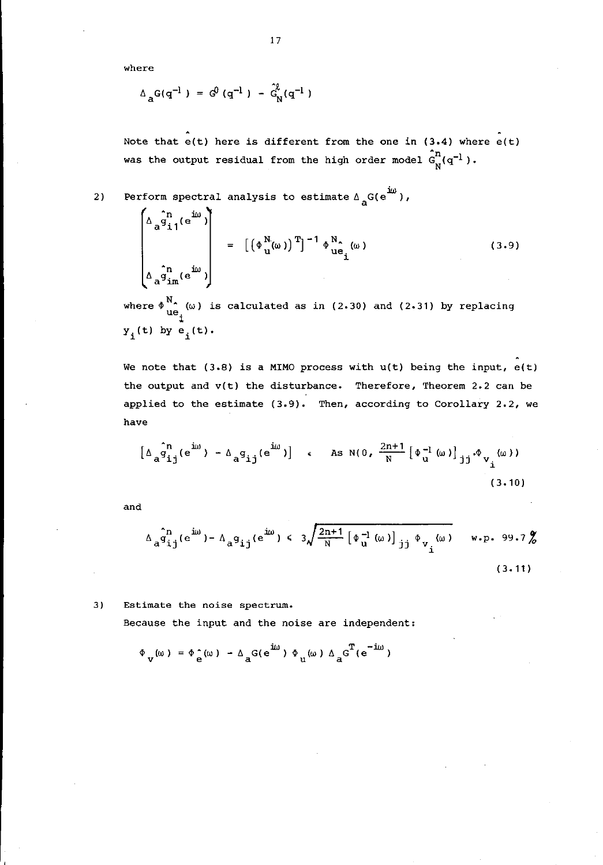**where** 

$$
\Delta_{\mathbf{a}} G(q^{-1}) = G^0(q^{-1}) - \hat{G}^0_N(q^{-1})
$$

Note that  $e(t)$  here is different from the one in (3.4) where  $e(t)$ was the output residual from the high order model  $\hat{G}_{N}^{n}(q^{-1})$ .

2) **Perform spectral analysis to estimate**  $\Delta$ <sub>a</sub>G(e<sup>1ω</sup>),

$$
\begin{bmatrix}\n\Delta_{a} \hat{q}_{11}^{n} (e^{i\omega}) \\
\vdots \\
\Delta_{a} \hat{q}_{1m}^{n} (e^{i\omega})\n\end{bmatrix} = \left[ \left( \Phi_{u}^{N} (\omega) \right)^{T} \right]^{-1} \Phi_{ue_{1}}^{N} (\omega)
$$
\n(3.9)

where  $\oint_{ue_i}^{N_a}$  (w) is calculated as in (2.30) and (2.31) by replacing  $y_i(t)$  by  $e_i(t)$ .

We note that  $(3.8)$  is a MIMO process with  $u(t)$  being the input,  $e(t)$ the output and  $v(t)$  the disturbance. Therefore, Theorem 2.2 can be **applied to the estimate (3.9). Then, according to Corollary 2.2, we have** 

$$
\left[\Delta_{a} \hat{q}_{ij}^{n}(e^{iw}) - \Delta_{a} q_{ij}(e^{iw})\right] \quad \text{as} \quad N(0, \frac{2n+1}{N} \left[\Phi_{u}^{-1}(\omega)\right]_{jj} \Phi_{v_{i}}(\omega))
$$
\n(3.10)

and

$$
\Delta_{\mathbf{a}}\hat{\mathbf{g}}_{ij}^{n}(e^{i\omega}) - \Delta_{\mathbf{a}}\mathbf{g}_{ij}(e^{i\omega}) \leq 3\sqrt{\frac{2n+1}{N} \left[\Phi_{\mathbf{u}}^{-1}(\omega)\right]_{jj} \Phi_{\mathbf{v}_{i}}(\omega)} \quad \text{w.p. 99.7\%}
$$
\n(3.11)

**3) Estimate the noise spectrum.** 

**Because the input and the noise are independent:** 

 $\Phi_{v}(\omega) = \Phi_{e}^{\wedge}(\omega) - \Delta_{a}^{\wedge}(\mathrm{e}^{\mathrm{i}\omega}) \Phi_{u}(\omega) \Delta_{a}^{\wedge} \mathrm{e}^{\mathrm{i}\omega})$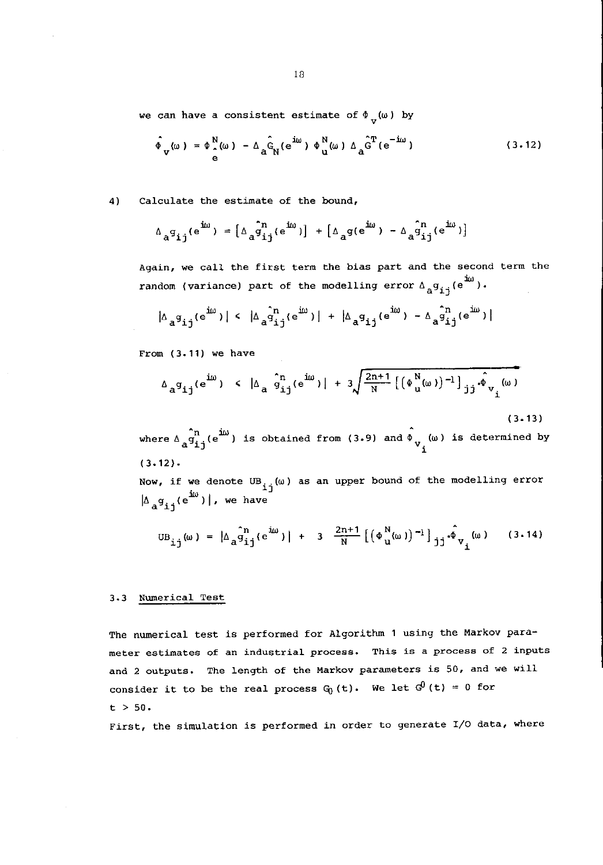we can have a consistent estimate of  $\Phi_{\mathbf{v}}(\omega)$  by

$$
\hat{\Phi}_{\mathbf{v}}(\omega) = \Phi_{\hat{\mathbf{e}}}^{\mathbf{N}}(\omega) - \Delta_{\hat{\mathbf{a}}} \hat{\mathbf{G}}_{\mathbf{N}}(e^{i\omega}) \Phi_{\mathbf{u}}^{\mathbf{N}}(\omega) \Delta_{\hat{\mathbf{a}}} \hat{\mathbf{G}}^{\mathbf{T}}(e^{-i\omega})
$$
\n(3.12)

**4) Calculate the estimate of the bound,** 

$$
\Delta_{a}g_{ij}(e^{j\omega}) = \left[\Delta_{a}g_{ij}(e^{j\omega})\right] + \left[\Delta_{a}g(e^{j\omega}) - \Delta_{a}g_{ij}(e^{j\omega})\right]
$$

Again, we call the first term the bias part and the second term the  $\texttt{random}$  (variance) part of the modelling error  $\texttt{A}_{\texttt{a}}\texttt{g}_{\texttt{i}\texttt{j}}(\texttt{e}^{\texttt{1}\omega})$ .

$$
|\Delta_a \mathfrak{g}_{ij}(e^{i\omega})| \leq |\Delta_a \hat{g}_{ij}^n(e^{i\omega})| + |\Delta_a \mathfrak{g}_{ij}(e^{i\omega}) - \Delta_a \hat{g}_{ij}^n(e^{i\omega})|
$$

From (3.11) we have

$$
\Delta_{a} g_{ij}(e^{i\omega}) \le |\Delta_{a} \hat{g}_{ij}^{n}(e^{i\omega})| + 3\sqrt{\frac{2n+1}{N} [(\Phi_{u}^{N}(\omega))^{-1}]_{jj} \hat{\phi}_{v_{i}}(\omega) ]}
$$
\n(3.13)

where  $\Delta_{\mathbf{a}} \mathbf{g}_{\mathbf{i} \mathbf{j}}^{\mathbf{a}_{\mathbf{m}}}(\mathbf{e}^{\mathbf{i}\omega})$  is obtained from (3.9) and  $\Phi_{\mathbf{v}_{\mathbf{i}}}^{\mathbf{a}_{\mathbf{m}}}(\omega)$  is determined by  $(3.12).$ 

Now, if we denote  $UB_{i,j}(\omega)$  as an upper bound of the modelling error  $\left| \Delta_{a} g_{i,i} (e^{iw}) \right|$ , we have

$$
UB_{ij}(\omega) = |\Delta_{a} \hat{q}_{ij}^{n}(e^{i\omega})| + 3 \frac{2n+1}{N} [(\Phi_{u}^{N}(\omega))^{-1}]_{jj} \hat{\phi}_{v_{i}}(\omega) \qquad (3.14)
$$

#### **3.3 Numerical Test**

The numerical test is performed for Algorithm 1 using the Markov para**meter estimates of an industrial process. This is a process of 2 inputs and 2 outputs. The length of the Markov parameters is 50, and we will**  consider it to be the real process  $G_0(t)$ . We let  $G^0(t) = 0$  for  $t > 50$ .

**First, the simulation is performed in order to generate I/O data, where**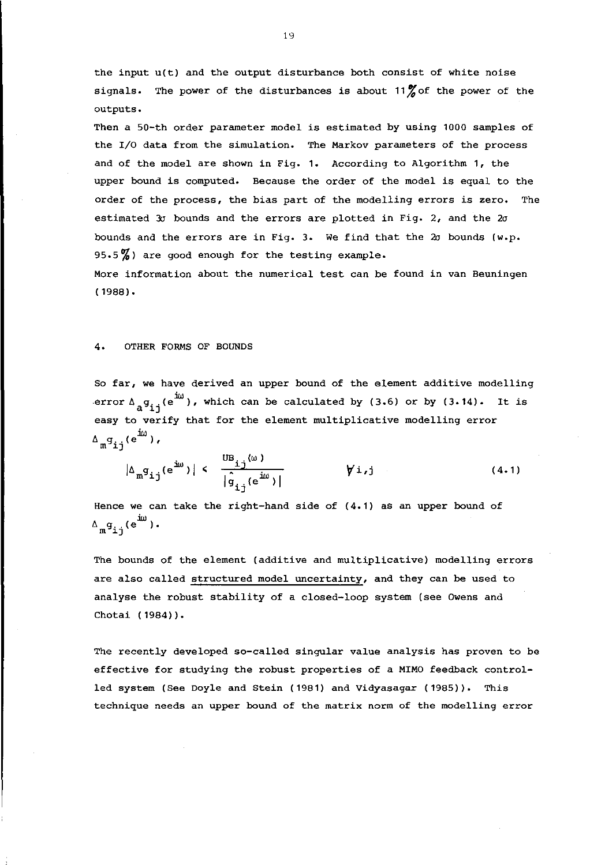**the input u(t) and the output disturbance both consist of white noise**  signals. The power of the disturbances is about 11<sup>%</sup> of the power of the **outputs.** 

**Then a 50-th order parameter model is estimated by using 1000 samples of the I/O data from the simulation. The Markov parameters of the process and of the model are shown in Fig. 1. According to Algorithm 1, the upper bound is computed. Because the order of the model is equal to the order of the process, the bias part of the modelling errors is zero. The estimated 3a bounds and the errors are plotted in Fig. 2, and the 20 bounds and the errors are in Fig. 3. We find that the 2a bounds (w.p. 95.5 %) are good enough for the testing example. More information about the numerical test can be found in van Beuningen**  (1988).

#### 4. OTHER FORMS OF BOUNDS

**So far, we have derived an upper bound of the element additive modelling**  error  $\Delta_{a}g_{ij}(e^{i\omega})$ , which can be calculated by (3.6) or by (3.14). It is **easy to verify that for the element multiplicative modelling error**   $\Delta_{\mathfrak{m}}^{\mathfrak{g}}$  (e<sup>im</sup>),

$$
|\Delta_{m}g_{ij}(e^{iw})| < \frac{US_{ij}(w)}{|\hat{g}_{ij}(e^{iw})|} \qquad \forall i,j
$$
 (4.1)

**Hence we can take the right-hand side of (4.1) as an upper bound of**   $\Delta_{\mathbf{m}}^{\mathbf{g}}$ g<sub>ij</sub>(e<sup>i $\omega$ </sup>).

**The bounds of the element (additive and multiplicative) modelling errors are also called structured model uncertainty, and they can be used to**  analyse the robust stability of a closed-loop system (see Owens and Chotai (1984)).

**The recently developed so-called singular value analysis has proven to be effective for studying the robust properties of a MIMO feedback control**led system (See Doyle and Stein (1981) and Vidyasagar (1985)). This **technique needs an upper bound of the matrix norm of the modelling error**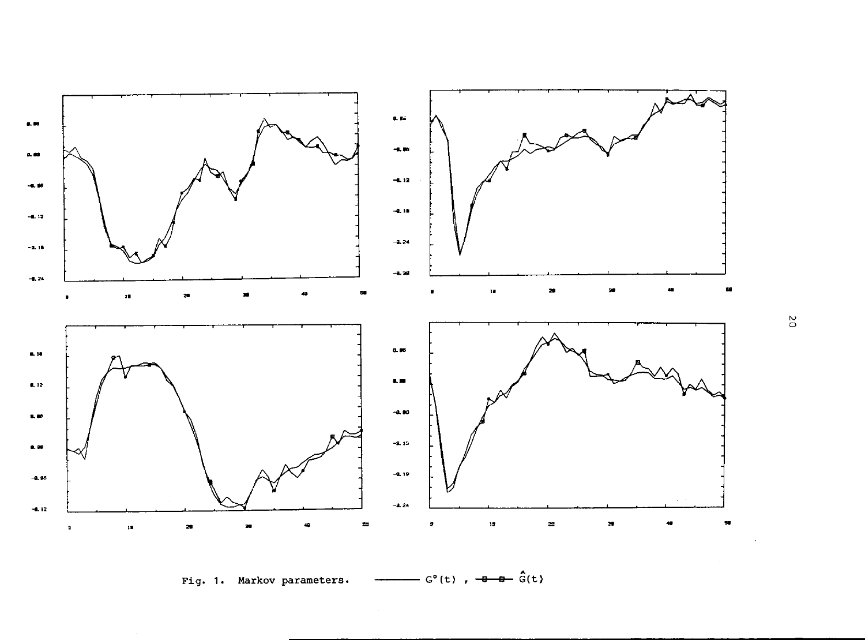

 $-G^{\circ}(t)$  ,  $-\theta - \theta - \hat{G}(t)$ Fig. 1. Markov parameters. <u>.,</u>

 $\mathcal{L}_{\mathrm{eff}}$ 

 $_{\rm o}^{\rm o}$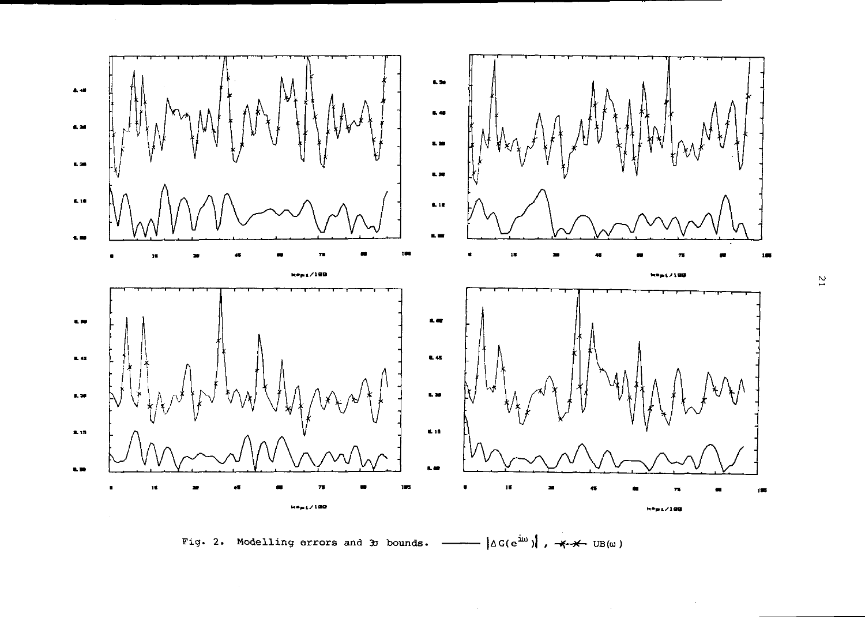

Fig. 2. Modelling errors and 3 bounds.  $-\longrightarrow |\triangle G(e^{i\omega})|$ ,  $\longrightarrow$  UB( $\omega$ )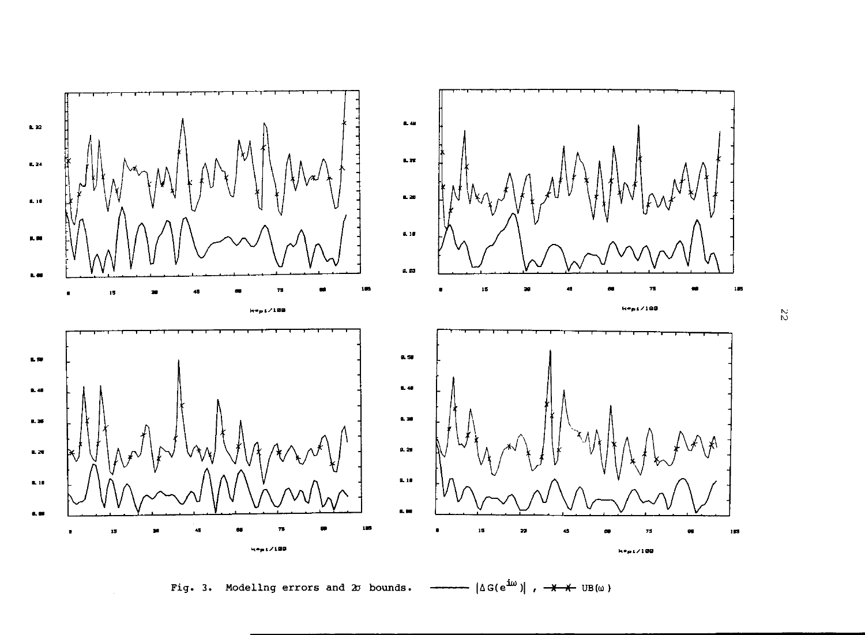

Fig. 3. Modeling errors and 2J bounds.  $\longrightarrow$   $|\triangle G(e^{i\omega})|$ ,  $\rightarrow$   $\rightarrow$   $\rightarrow$  UB(w)

 $\stackrel{\textstyle\sim}{\sim}$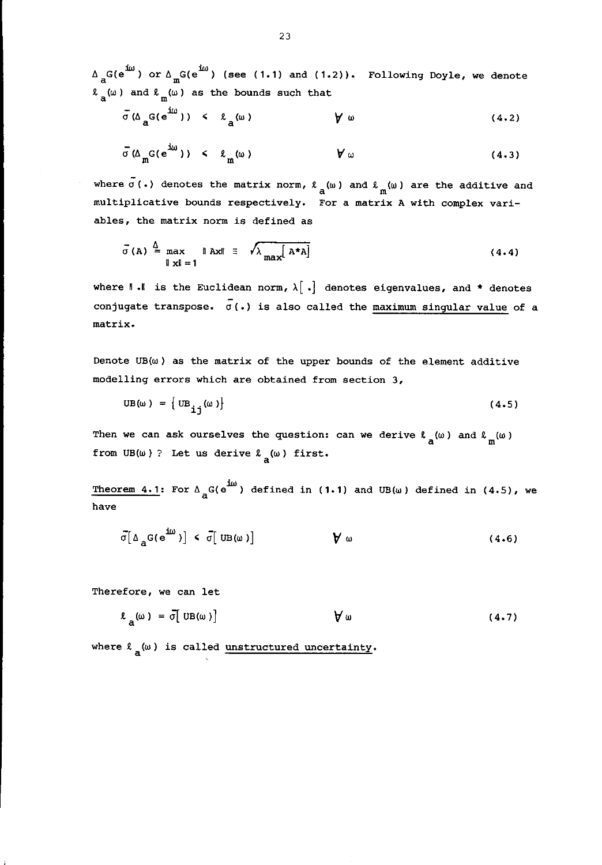$\Delta$ <sub>a</sub>G(e<sup>1 $\omega$ </sup>) or  $\Delta$ <sub>m</sub>G(e<sup>1 $\omega$ </sup>) (see (1.1) and (1.2)). Following Doyle, we denote  $\ell_a(\omega)$  and  $\ell_m(\omega)$  as the bounds such that

$$
\bar{\sigma}(\Delta_{\mathbf{a}}G(\mathbf{e}^{\mathbf{i}\omega})) \leq \ell_{\mathbf{a}}(\omega) \qquad \qquad \mathbf{\gamma} \omega \qquad (4.2)
$$

$$
\bar{\sigma}(\Delta_{m}G(e^{i\omega})) < \ell_{m}(\omega) \qquad \forall \omega \qquad (4.3)
$$

where  $\bar{\sigma}$  (.) denotes the matrix norm,  $\ell_{\rm a}(\omega)$  and  $\ell_{\rm m}(\omega)$  are the additive and **multiplicative bounds respectively. For a matrix A with complex variables, the matrix norm is defined as** 

$$
\bar{\sigma}(A) \stackrel{\Delta}{=} \max_{\|x\|=1} \|Ax\| \equiv \sqrt{\lambda_{\max}[A^*A]}
$$
 (4.4)

where  $\parallel$ . $\parallel$  is the Euclidean norm,  $\lambda[\cdot]$  denotes eigenvalues, and  $*$  denotes **conjugate transpose.** *a(.)* **is also called the maximum singular value of a matrix.** 

Denote  $UB(\omega)$  as the matrix of the upper bounds of the element additive **modelling errors which are obtained from section 3,** 

$$
UB(\omega) = \left\{ UB_{ij}(\omega) \right\} \tag{4.5}
$$

Then we can ask ourselves the question: can we derive  $\ell_a(\omega)$  and  $\ell_m(\omega)$ from UB( $\omega$ )? Let us derive  $\ell_a(\omega)$  first.

Theorem 4.1: For  $\Delta_{\overline{A}} G(e^{i\omega})$  defined in (1.1) and UB(w) defined in (4.5), we **have** 

$$
\bar{\sigma}[\Delta_{\underline{\alpha}}G(e^{2\omega})] < \bar{\sigma}[\text{UB}(\omega)] \qquad \qquad \mathbf{\hat{V}} \omega \qquad (4.6)
$$

**Therefore, we can let** 

$$
\ell_a(\omega) = \bar{\sigma} \big[ \text{ UB}(\omega) \big] \qquad \qquad \forall \omega \qquad (4.7)
$$

where  $\ell_a(\omega)$  is called unstructured uncertainty.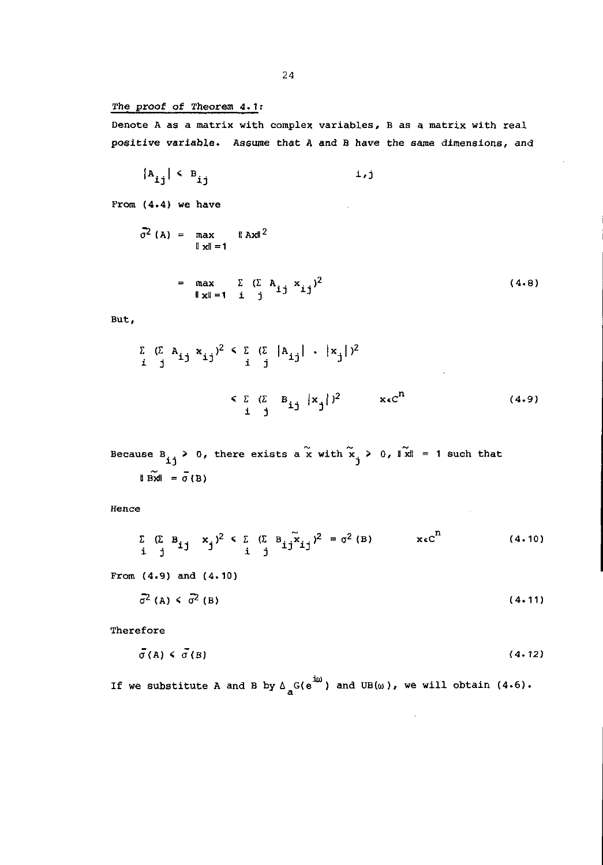#### The proof of Theorem 4.1:

**Denote A as a matrix with complex variables, B as a matrix with real**  positive variable. Assume that A and 8 have the same dimensions, and

$$
|A_{ij}| \leftarrow B_{ij} \qquad \qquad i,j
$$

**From** ( 4.4) **we have** 

$$
\vec{\sigma}^2 (A) = \max_{\|x\| = 1} \|Ax\|^2
$$

$$
= \max_{\parallel \mathbf{x} \parallel = 1} \sum_{\mathbf{i} \in \mathbf{1}} (\sum_{i} A_{ij} x_{ij})^2
$$
 (4.8)

**But,** 

$$
\sum_{i} (\sum_{j} A_{ij} x_{ij})^{2} \leq \sum_{i} (\sum_{j} |A_{ij}| + |x_{j}|)^{2}
$$
  

$$
\leq \sum_{i} (\sum_{j} B_{ij} |x_{j}|)^{2} \qquad \text{ } x \in C^{n}
$$
 (4.9)

Because B<sub>ij</sub> > 0, there exists a  $\tilde{x}$  with  $\tilde{x}_j$  > 0,  $\|\tilde{x}\|$  = 1 such that II Bxil =  $\sigma$ (B)

**Hence** 

$$
\sum_{\mathbf{i} \quad \mathbf{j}} (\sum_{\mathbf{j} \quad \mathbf{B}_{\mathbf{i}, \mathbf{j}}} \mathbf{B}_{\mathbf{i}, \mathbf{j}})^2 \leq \sum_{\mathbf{i} \quad \mathbf{j}} (\sum_{\mathbf{j} \quad \mathbf{B}_{\mathbf{i}, \mathbf{j}}} \widetilde{\mathbf{x}}_{\mathbf{i}, \mathbf{j}})^2 = \sigma^2 (\mathbf{B}) \qquad \mathbf{x} \in \mathbb{C}^{\mathbf{n}} \qquad (4.10)
$$

**From** (4.9) and (4.10)

$$
\bar{\sigma}^2 \text{ (A)} \leq \bar{\sigma}^2 \text{ (B)} \tag{4-11}
$$

**Therefore** 

$$
\bar{\sigma}(A) \leq \bar{\sigma}(B) \tag{4.12}
$$

 $\bar{z}$ 

If we substitute A and B by  $\Delta_{\mathbf{a}}^{\mathbf{b}}(\mathrm{e}^{\mathrm{i}\omega})$  and UB( $\omega$ ), we will obtain (4.6).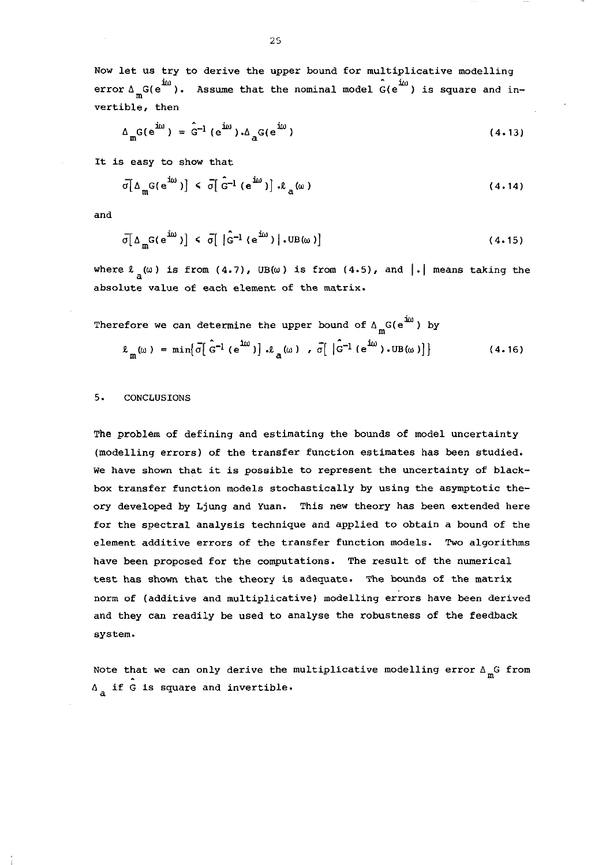**Now let us try to derive the upper bound for multiplicative modelling**  error  $\Delta_{\text{m}}G(e^{i\omega})$ . Assume that the nominal model  $G(e^{i\omega})$  is square and in**vertible, then** 

$$
\Delta_{\mathbf{m}} G(e^{i\omega}) = \hat{G}^{-1} (e^{i\omega}) \cdot \Delta_{\mathbf{a}} G(e^{i\omega})
$$
 (4.13)

**It** *is* **easy to show that** 

$$
\bar{\sigma} \left[ \Delta_{\mathfrak{m}} G(e^{i\omega}) \right] \leq \bar{\sigma} \left[ \hat{G}^{-1} \left( e^{i\omega} \right) \right] \cdot \ell_{\mathfrak{a}}(\omega) \tag{4.14}
$$

and

$$
\overline{\sigma} \left[ \Delta_{\overline{\mathbf{m}}} \mathbf{G}(\mathbf{e}^{\mathbf{i}\omega}) \right] \leq \overline{\sigma} \left[ \left| \hat{\mathbf{G}}^{-1} \left( \mathbf{e}^{\mathbf{i}\omega} \right) \right| \cdot \mathbf{U} \mathbf{B}(\omega) \right] \tag{4.15}
$$

where  $\ell_a(\omega)$  is from  $(4.7)$ , UB( $\omega$ ) is from  $(4.5)$ , and  $|\cdot|$  means taking the **absolute value of each element of the matrix.** 

Therefore we can determine the upper bound of 
$$
\Delta_{m}G(e^{i\omega})
$$
 by  
\n
$$
\ell_{m}(\omega) = \min[\bar{\sigma}[\hat{G}^{-1}(e^{i\omega})], \ell_{a}(\omega), \bar{\sigma}[\hat{G}^{-1}(e^{i\omega}).UB(\omega)]]
$$
\n(4.16)

#### 5. CONCLUSIONS

The problem of defining and estimating the bounds of model uncertainty **(modelling errors) of the transfer function estimates has been studied. We have shown that it is possible to represent the uncertainty of blackbox transfer function models stochastically by using the asymptotic theory developed by Ljung and Yuan. This new theory has been extended here for the spectral analysis technique and** *applied* **to obtain a bound of the element additive errors of the transfer function models. Two algorithms have been proposed for the computations. The result of the numerical**  test has shown that the theory is adequate. The bounds of the matrix **norm of (additive and multiplicative) modelling errors have been derived**  and they can readily be used to analyse the robustness of the feedback **system.** 

Note that we can only derive the multiplicative modelling error  $\Delta_{\text{m}}$  from <sup>6</sup>**if G is square and invertible.**  a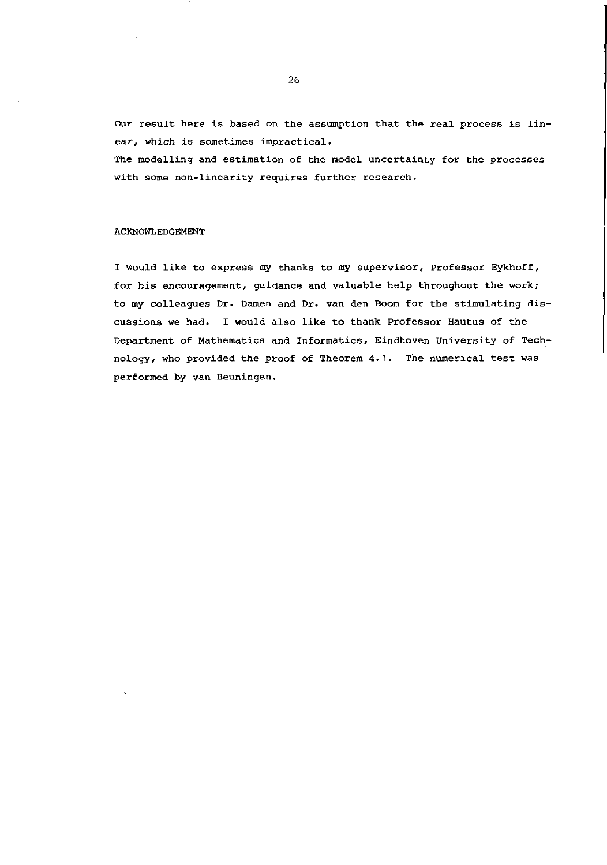OUr result here is based on the assumption that the real process is linear, which is sometimes impractical.

The modelling and estimation of the model uncertainty for the processes with some non-linearity requires further research.

#### ACKNOWLEDGEMENT

I would like to express my thanks to my supervisor, Professor Eykhoff, for *his* encouragement, guidance and valuable help throughout the work; to my colleagues Dr. Damen and Dr. van den Boom for the stimulating *dis*cussions we had. I would also like to thank Professor Hautus of the Department of Mathematics and Informatics, Eindhoven University of Technology, who provided the proof of Theorem 4.1. The numerical test was performed by van Beuningen.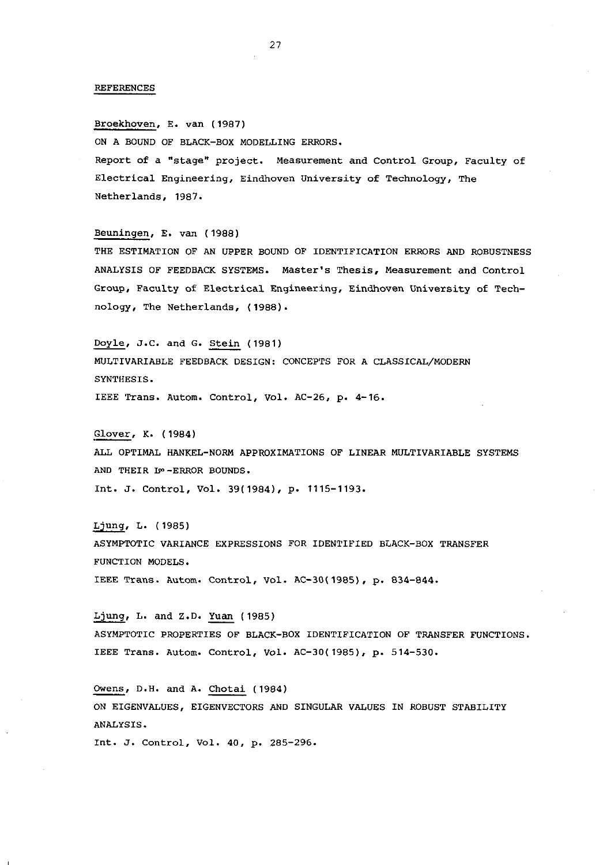#### REFERENCES

Broekhoven, E. van (1987) ON A BOUND OF BLACK-BOX MODELLING ERRORS. **Report of a "stage" project. Measurement and Control Group, Faculty of Electrical Engineering, Eindhoven University of Technology, The**  Netherlands, 1987.

Beuningen, E. van (1988) THE ESTIMATION OF AN UPPER BOUND OF IDENTIFICATION ERRORS AND ROBUSTNESS ANALYSIS OF FEEDBACK SYSTEMS. Master's Thesis, Measurement and Control **Group, Faculty of Electrical Engineering, Eindhoven University of Tech**nology, The Netherlands, (1988).

Doyle, J.C. and G. Stein (1981) MULTIVARIABLE FEEDBACK DESIGN: CONCEPTS FOR A CLASSICAL/MODERN SYNTHESIS. IEEE Trans. Autom. Control, Vol. AC-26, p. 4-16.

Glover, K. (1984) ALL OPTIMAL HANKEL-NORM APPROXIMATIONS OF LINEAR MULTIVARIABLE SYSTEMS AND THEIR IS -ERROR BOUNDS. Int. J. Control, Vol. 39(1984), p. 1115-1193.

Ljung, L. (1985) ASYMPTOTIC VARIANCE EXPRESSIONS FOR IDENTIFIED BLACK-BOX TRANSFER FUNCTION MODELS. IEEE Trans. Autom. Control, Vol. AC-30(1985), p. 834-844.

Ljung, L. and Z.D. Yuan (1985) ASYMPTOTIC PROPERTIES OF BLACK-BOX IDENTIFICATION OF TRANSFER FUNCTIONS. IEEE Trans. Autom. Control, Vol. AC-30(1985), p. 514-530.

OWens, D.H. and A. Chotai (1984) ON EIGENVALUES, EIGENVECTORS AND SINGULAR VALUES IN ROBUST STABILITY ANALYSIS.

**Int. J. Control, Vol. 40, p. 285-296.**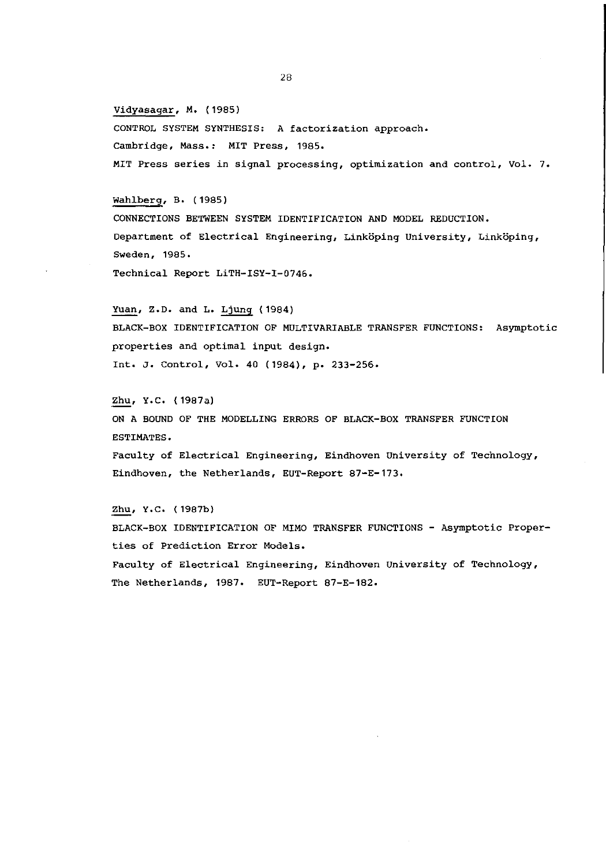Vidyasagar, M. (1985)

CONTROL SYSTEM SYNTHESIS: A factorization approach. **Cambridge, Mass.: MIT Press, 1985. MIT Press series in signal processing, optimization and control, Vol. 7.** 

Wahlberg, B. (1985 )

CONNECTIONS BETWEEN SYSTEM IDENTIFICATION AND MODEL REDUCTION. **Department of Electrical Engineering, Linkoping University, Linkoping, Sweden, 1985.**  Technical Report LiTH-ISY-I-0746.

Yuan, Z.D. and L. Ljung (1984) BLACK-BOX IDENTIFICATION OF MULTIVARIABLE TRANSFER FUNCTIONS: Asymptotic **properties and optimal input design.**  Int. J. Control, Vol. 40 (1984), p. 233-256.

Zhu, Y.C. (1987a) ON A BOUND OF THE MODELLING ERRORS OF BLACK-BOX TRANSFER FUNCTION ESTIMATES. **Faculty of Electrical Engineering, Eindhoven University of Technology, Eindhoven, the Netherlands, EUT-Report 87-E-173.** 

Zhu, Y.C. (1987b) BLACK-BOX IDENTIFICATION OF MIMO TRANSFER FUNCTIONS - Asymptotic Proper**ties of Prediction Error Models. Faculty of Electrical Engineering, Eindhoven University of Technology,**  The Netherlands, 1987. EUT-Report 87-E-182.